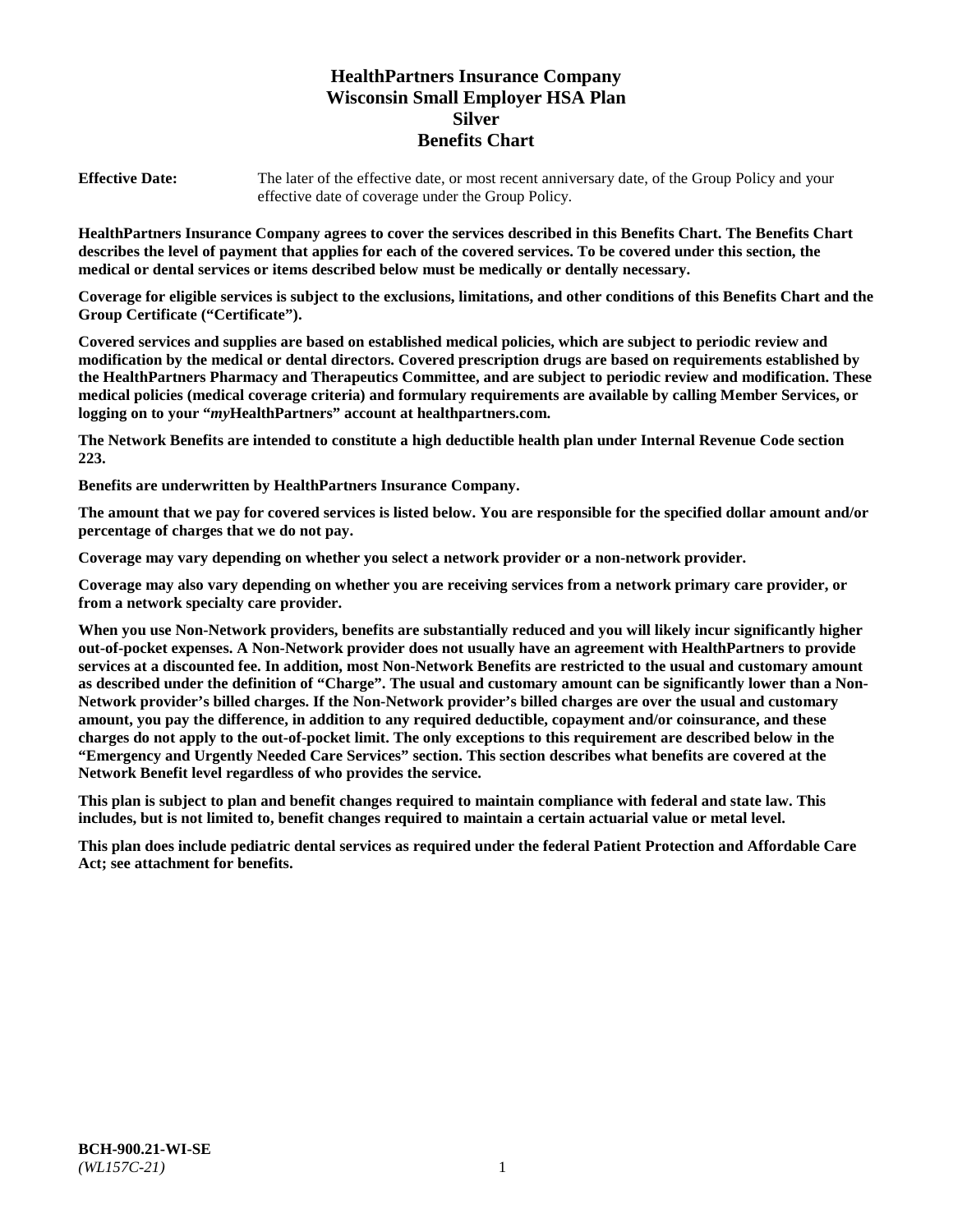# **HealthPartners Insurance Company Wisconsin Small Employer HSA Plan Silver Benefits Chart**

**Effective Date:** The later of the effective date, or most recent anniversary date, of the Group Policy and your effective date of coverage under the Group Policy.

**HealthPartners Insurance Company agrees to cover the services described in this Benefits Chart. The Benefits Chart describes the level of payment that applies for each of the covered services. To be covered under this section, the medical or dental services or items described below must be medically or dentally necessary.**

**Coverage for eligible services is subject to the exclusions, limitations, and other conditions of this Benefits Chart and the Group Certificate ("Certificate").**

**Covered services and supplies are based on established medical policies, which are subject to periodic review and modification by the medical or dental directors. Covered prescription drugs are based on requirements established by the HealthPartners Pharmacy and Therapeutics Committee, and are subject to periodic review and modification. These medical policies (medical coverage criteria) and formulary requirements are available by calling Member Services, or logging on to your "***my***HealthPartners" account at [healthpartners.com.](https://www.healthpartners.com/hp/index.html)**

**The Network Benefits are intended to constitute a high deductible health plan under Internal Revenue Code section 223.**

**Benefits are underwritten by HealthPartners Insurance Company.**

**The amount that we pay for covered services is listed below. You are responsible for the specified dollar amount and/or percentage of charges that we do not pay.**

**Coverage may vary depending on whether you select a network provider or a non-network provider.**

**Coverage may also vary depending on whether you are receiving services from a network primary care provider, or from a network specialty care provider.**

**When you use Non-Network providers, benefits are substantially reduced and you will likely incur significantly higher out-of-pocket expenses. A Non-Network provider does not usually have an agreement with HealthPartners to provide services at a discounted fee. In addition, most Non-Network Benefits are restricted to the usual and customary amount as described under the definition of "Charge". The usual and customary amount can be significantly lower than a Non-Network provider's billed charges. If the Non-Network provider's billed charges are over the usual and customary amount, you pay the difference, in addition to any required deductible, copayment and/or coinsurance, and these charges do not apply to the out-of-pocket limit. The only exceptions to this requirement are described below in the "Emergency and Urgently Needed Care Services" section. This section describes what benefits are covered at the Network Benefit level regardless of who provides the service.**

**This plan is subject to plan and benefit changes required to maintain compliance with federal and state law. This includes, but is not limited to, benefit changes required to maintain a certain actuarial value or metal level.**

**This plan does include pediatric dental services as required under the federal Patient Protection and Affordable Care Act; see attachment for benefits.**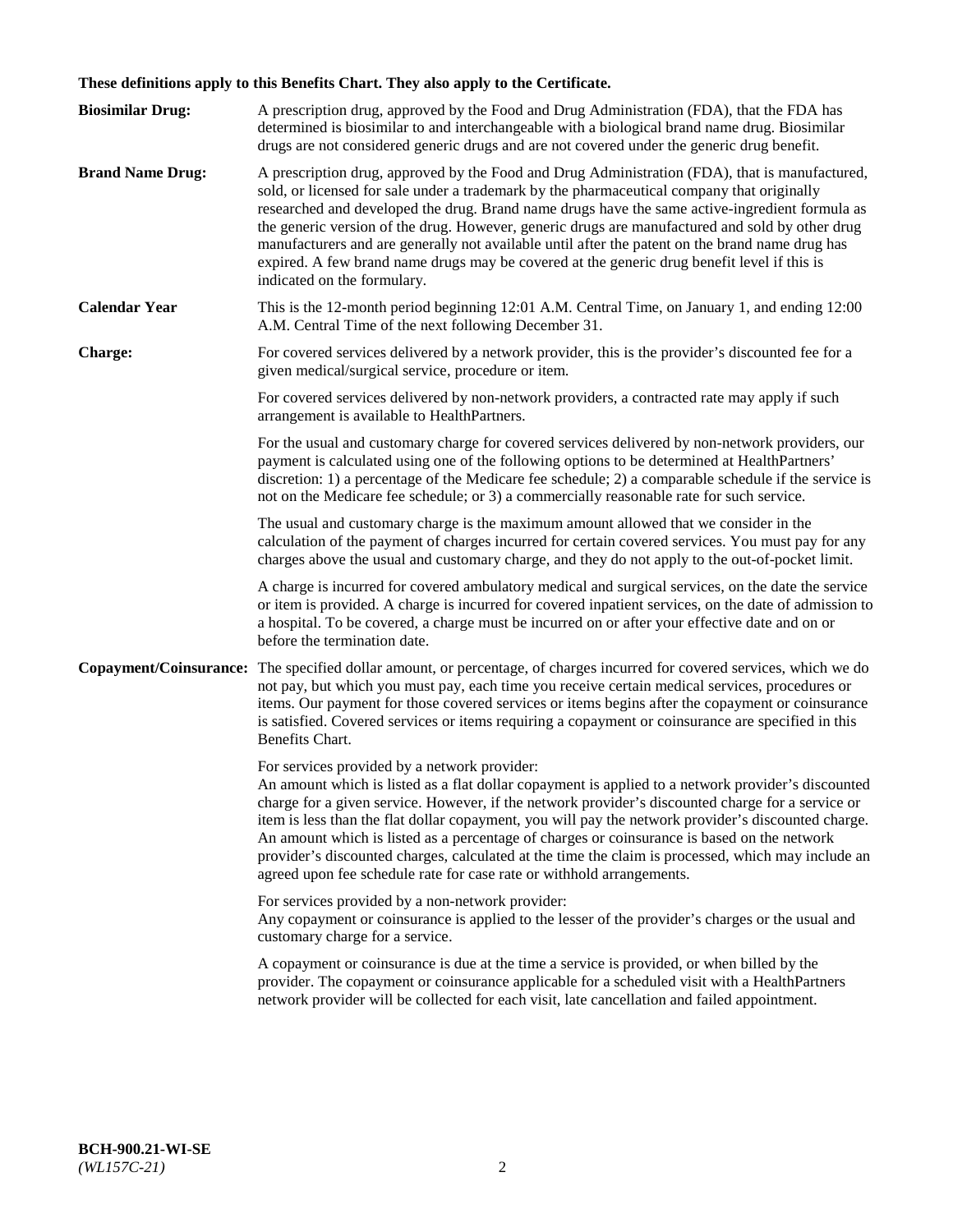# **These definitions apply to this Benefits Chart. They also apply to the Certificate.**

| <b>Biosimilar Drug:</b> | A prescription drug, approved by the Food and Drug Administration (FDA), that the FDA has<br>determined is biosimilar to and interchangeable with a biological brand name drug. Biosimilar<br>drugs are not considered generic drugs and are not covered under the generic drug benefit.                                                                                                                                                                                                                                                                                                                                                     |
|-------------------------|----------------------------------------------------------------------------------------------------------------------------------------------------------------------------------------------------------------------------------------------------------------------------------------------------------------------------------------------------------------------------------------------------------------------------------------------------------------------------------------------------------------------------------------------------------------------------------------------------------------------------------------------|
| <b>Brand Name Drug:</b> | A prescription drug, approved by the Food and Drug Administration (FDA), that is manufactured,<br>sold, or licensed for sale under a trademark by the pharmaceutical company that originally<br>researched and developed the drug. Brand name drugs have the same active-ingredient formula as<br>the generic version of the drug. However, generic drugs are manufactured and sold by other drug<br>manufacturers and are generally not available until after the patent on the brand name drug has<br>expired. A few brand name drugs may be covered at the generic drug benefit level if this is<br>indicated on the formulary.           |
| <b>Calendar Year</b>    | This is the 12-month period beginning 12:01 A.M. Central Time, on January 1, and ending 12:00<br>A.M. Central Time of the next following December 31.                                                                                                                                                                                                                                                                                                                                                                                                                                                                                        |
| <b>Charge:</b>          | For covered services delivered by a network provider, this is the provider's discounted fee for a<br>given medical/surgical service, procedure or item.                                                                                                                                                                                                                                                                                                                                                                                                                                                                                      |
|                         | For covered services delivered by non-network providers, a contracted rate may apply if such<br>arrangement is available to HealthPartners.                                                                                                                                                                                                                                                                                                                                                                                                                                                                                                  |
|                         | For the usual and customary charge for covered services delivered by non-network providers, our<br>payment is calculated using one of the following options to be determined at HealthPartners'<br>discretion: 1) a percentage of the Medicare fee schedule; 2) a comparable schedule if the service is<br>not on the Medicare fee schedule; or 3) a commercially reasonable rate for such service.                                                                                                                                                                                                                                          |
|                         | The usual and customary charge is the maximum amount allowed that we consider in the<br>calculation of the payment of charges incurred for certain covered services. You must pay for any<br>charges above the usual and customary charge, and they do not apply to the out-of-pocket limit.                                                                                                                                                                                                                                                                                                                                                 |
|                         | A charge is incurred for covered ambulatory medical and surgical services, on the date the service<br>or item is provided. A charge is incurred for covered inpatient services, on the date of admission to<br>a hospital. To be covered, a charge must be incurred on or after your effective date and on or<br>before the termination date.                                                                                                                                                                                                                                                                                                |
| Copayment/Coinsurance:  | The specified dollar amount, or percentage, of charges incurred for covered services, which we do<br>not pay, but which you must pay, each time you receive certain medical services, procedures or<br>items. Our payment for those covered services or items begins after the copayment or coinsurance<br>is satisfied. Covered services or items requiring a copayment or coinsurance are specified in this<br>Benefits Chart.                                                                                                                                                                                                             |
|                         | For services provided by a network provider:<br>An amount which is listed as a flat dollar copayment is applied to a network provider's discounted<br>charge for a given service. However, if the network provider's discounted charge for a service or<br>item is less than the flat dollar copayment, you will pay the network provider's discounted charge.<br>An amount which is listed as a percentage of charges or coinsurance is based on the network<br>provider's discounted charges, calculated at the time the claim is processed, which may include an<br>agreed upon fee schedule rate for case rate or withhold arrangements. |
|                         | For services provided by a non-network provider:<br>Any copayment or coinsurance is applied to the lesser of the provider's charges or the usual and<br>customary charge for a service.                                                                                                                                                                                                                                                                                                                                                                                                                                                      |
|                         | A copayment or coinsurance is due at the time a service is provided, or when billed by the<br>provider. The copayment or coinsurance applicable for a scheduled visit with a HealthPartners<br>network provider will be collected for each visit, late cancellation and failed appointment.                                                                                                                                                                                                                                                                                                                                                  |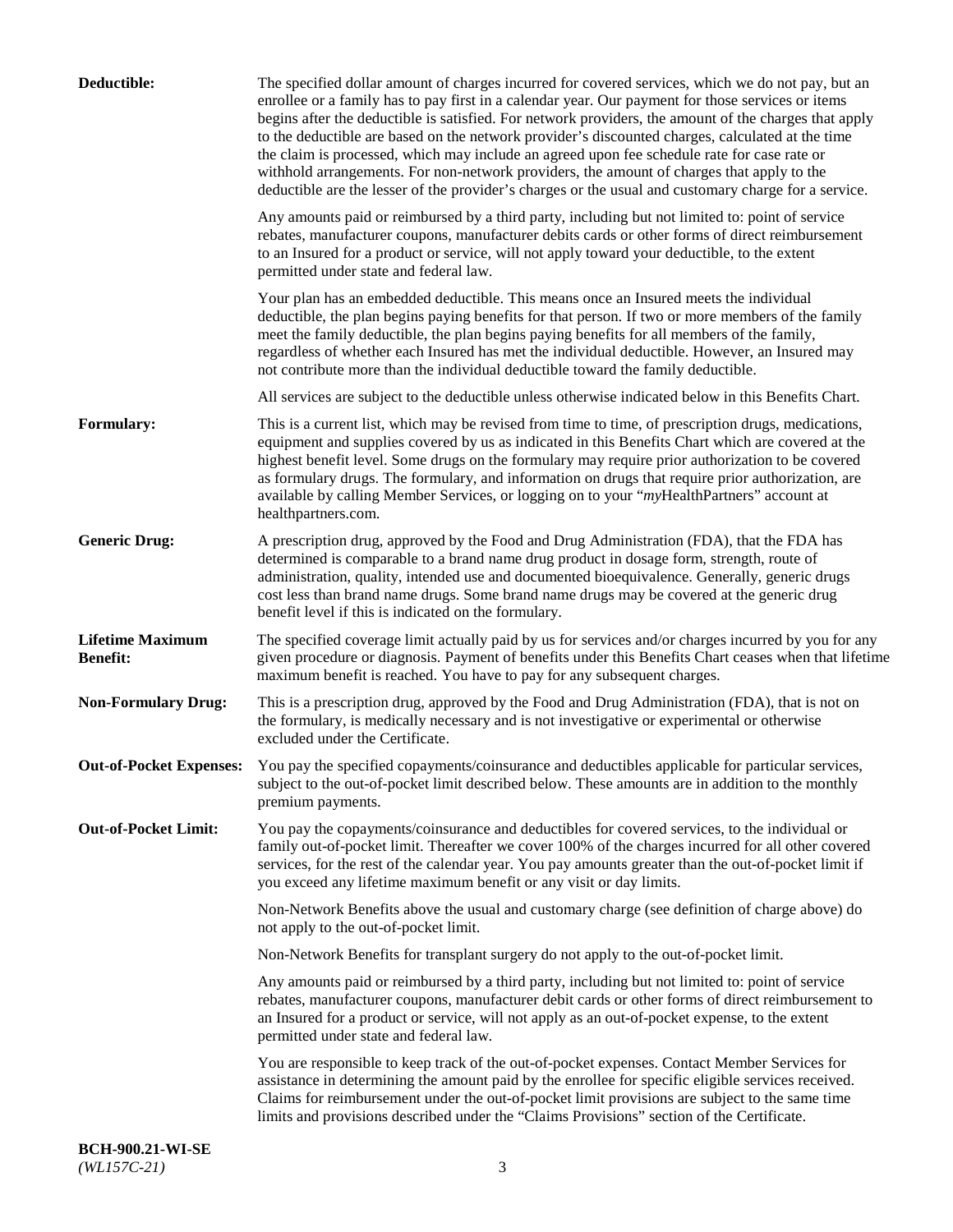| Deductible:                                | The specified dollar amount of charges incurred for covered services, which we do not pay, but an<br>enrollee or a family has to pay first in a calendar year. Our payment for those services or items<br>begins after the deductible is satisfied. For network providers, the amount of the charges that apply<br>to the deductible are based on the network provider's discounted charges, calculated at the time<br>the claim is processed, which may include an agreed upon fee schedule rate for case rate or<br>withhold arrangements. For non-network providers, the amount of charges that apply to the<br>deductible are the lesser of the provider's charges or the usual and customary charge for a service. |
|--------------------------------------------|-------------------------------------------------------------------------------------------------------------------------------------------------------------------------------------------------------------------------------------------------------------------------------------------------------------------------------------------------------------------------------------------------------------------------------------------------------------------------------------------------------------------------------------------------------------------------------------------------------------------------------------------------------------------------------------------------------------------------|
|                                            | Any amounts paid or reimbursed by a third party, including but not limited to: point of service<br>rebates, manufacturer coupons, manufacturer debits cards or other forms of direct reimbursement<br>to an Insured for a product or service, will not apply toward your deductible, to the extent<br>permitted under state and federal law.                                                                                                                                                                                                                                                                                                                                                                            |
|                                            | Your plan has an embedded deductible. This means once an Insured meets the individual<br>deductible, the plan begins paying benefits for that person. If two or more members of the family<br>meet the family deductible, the plan begins paying benefits for all members of the family,<br>regardless of whether each Insured has met the individual deductible. However, an Insured may<br>not contribute more than the individual deductible toward the family deductible.                                                                                                                                                                                                                                           |
|                                            | All services are subject to the deductible unless otherwise indicated below in this Benefits Chart.                                                                                                                                                                                                                                                                                                                                                                                                                                                                                                                                                                                                                     |
| Formulary:                                 | This is a current list, which may be revised from time to time, of prescription drugs, medications,<br>equipment and supplies covered by us as indicated in this Benefits Chart which are covered at the<br>highest benefit level. Some drugs on the formulary may require prior authorization to be covered<br>as formulary drugs. The formulary, and information on drugs that require prior authorization, are<br>available by calling Member Services, or logging on to your "myHealthPartners" account at<br>healthpartners.com.                                                                                                                                                                                   |
| <b>Generic Drug:</b>                       | A prescription drug, approved by the Food and Drug Administration (FDA), that the FDA has<br>determined is comparable to a brand name drug product in dosage form, strength, route of<br>administration, quality, intended use and documented bioequivalence. Generally, generic drugs<br>cost less than brand name drugs. Some brand name drugs may be covered at the generic drug<br>benefit level if this is indicated on the formulary.                                                                                                                                                                                                                                                                             |
| <b>Lifetime Maximum</b><br><b>Benefit:</b> | The specified coverage limit actually paid by us for services and/or charges incurred by you for any<br>given procedure or diagnosis. Payment of benefits under this Benefits Chart ceases when that lifetime<br>maximum benefit is reached. You have to pay for any subsequent charges.                                                                                                                                                                                                                                                                                                                                                                                                                                |
| <b>Non-Formulary Drug:</b>                 | This is a prescription drug, approved by the Food and Drug Administration (FDA), that is not on<br>the formulary, is medically necessary and is not investigative or experimental or otherwise<br>excluded under the Certificate.                                                                                                                                                                                                                                                                                                                                                                                                                                                                                       |
|                                            | Out-of-Pocket Expenses: You pay the specified copayments/coinsurance and deductibles applicable for particular services,<br>subject to the out-of-pocket limit described below. These amounts are in addition to the monthly<br>premium payments.                                                                                                                                                                                                                                                                                                                                                                                                                                                                       |
| <b>Out-of-Pocket Limit:</b>                | You pay the copayments/coinsurance and deductibles for covered services, to the individual or<br>family out-of-pocket limit. Thereafter we cover 100% of the charges incurred for all other covered<br>services, for the rest of the calendar year. You pay amounts greater than the out-of-pocket limit if<br>you exceed any lifetime maximum benefit or any visit or day limits.                                                                                                                                                                                                                                                                                                                                      |
|                                            | Non-Network Benefits above the usual and customary charge (see definition of charge above) do<br>not apply to the out-of-pocket limit.                                                                                                                                                                                                                                                                                                                                                                                                                                                                                                                                                                                  |
|                                            | Non-Network Benefits for transplant surgery do not apply to the out-of-pocket limit.                                                                                                                                                                                                                                                                                                                                                                                                                                                                                                                                                                                                                                    |
|                                            | Any amounts paid or reimbursed by a third party, including but not limited to: point of service<br>rebates, manufacturer coupons, manufacturer debit cards or other forms of direct reimbursement to<br>an Insured for a product or service, will not apply as an out-of-pocket expense, to the extent<br>permitted under state and federal law.                                                                                                                                                                                                                                                                                                                                                                        |
|                                            | You are responsible to keep track of the out-of-pocket expenses. Contact Member Services for<br>assistance in determining the amount paid by the enrollee for specific eligible services received.<br>Claims for reimbursement under the out-of-pocket limit provisions are subject to the same time<br>limits and provisions described under the "Claims Provisions" section of the Certificate.                                                                                                                                                                                                                                                                                                                       |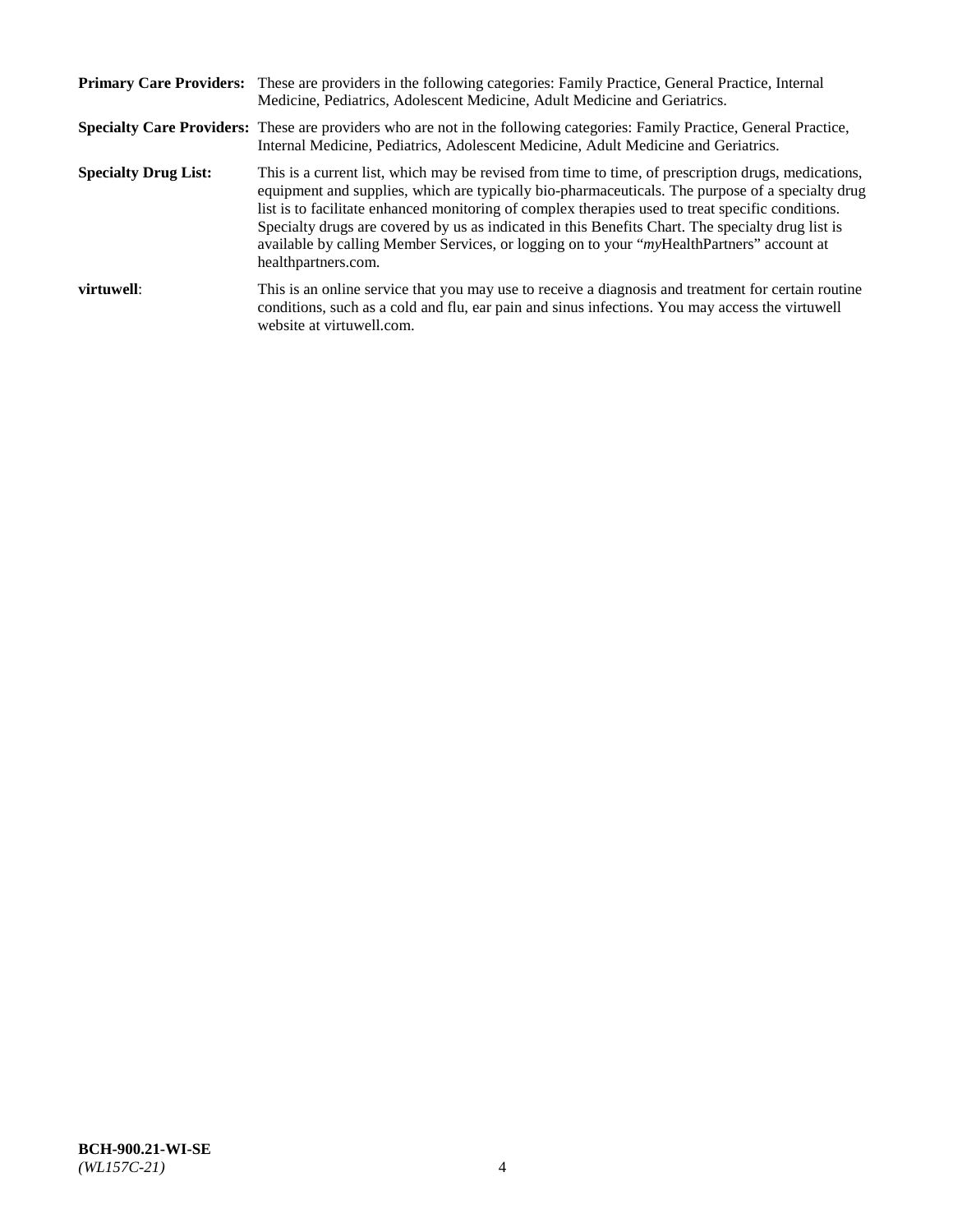|                             | Primary Care Providers: These are providers in the following categories: Family Practice, General Practice, Internal<br>Medicine, Pediatrics, Adolescent Medicine, Adult Medicine and Geriatrics.                                                                                                                                                                                                                                                                                                                                     |
|-----------------------------|---------------------------------------------------------------------------------------------------------------------------------------------------------------------------------------------------------------------------------------------------------------------------------------------------------------------------------------------------------------------------------------------------------------------------------------------------------------------------------------------------------------------------------------|
|                             | <b>Specialty Care Providers:</b> These are providers who are not in the following categories: Family Practice, General Practice,<br>Internal Medicine, Pediatrics, Adolescent Medicine, Adult Medicine and Geriatrics.                                                                                                                                                                                                                                                                                                                |
| <b>Specialty Drug List:</b> | This is a current list, which may be revised from time to time, of prescription drugs, medications,<br>equipment and supplies, which are typically bio-pharmaceuticals. The purpose of a specialty drug<br>list is to facilitate enhanced monitoring of complex therapies used to treat specific conditions.<br>Specialty drugs are covered by us as indicated in this Benefits Chart. The specialty drug list is<br>available by calling Member Services, or logging on to your "myHealthPartners" account at<br>healthpartners.com. |
| virtuwell:                  | This is an online service that you may use to receive a diagnosis and treatment for certain routine<br>conditions, such as a cold and flu, ear pain and sinus infections. You may access the virtuwell<br>website at virtuwell.com.                                                                                                                                                                                                                                                                                                   |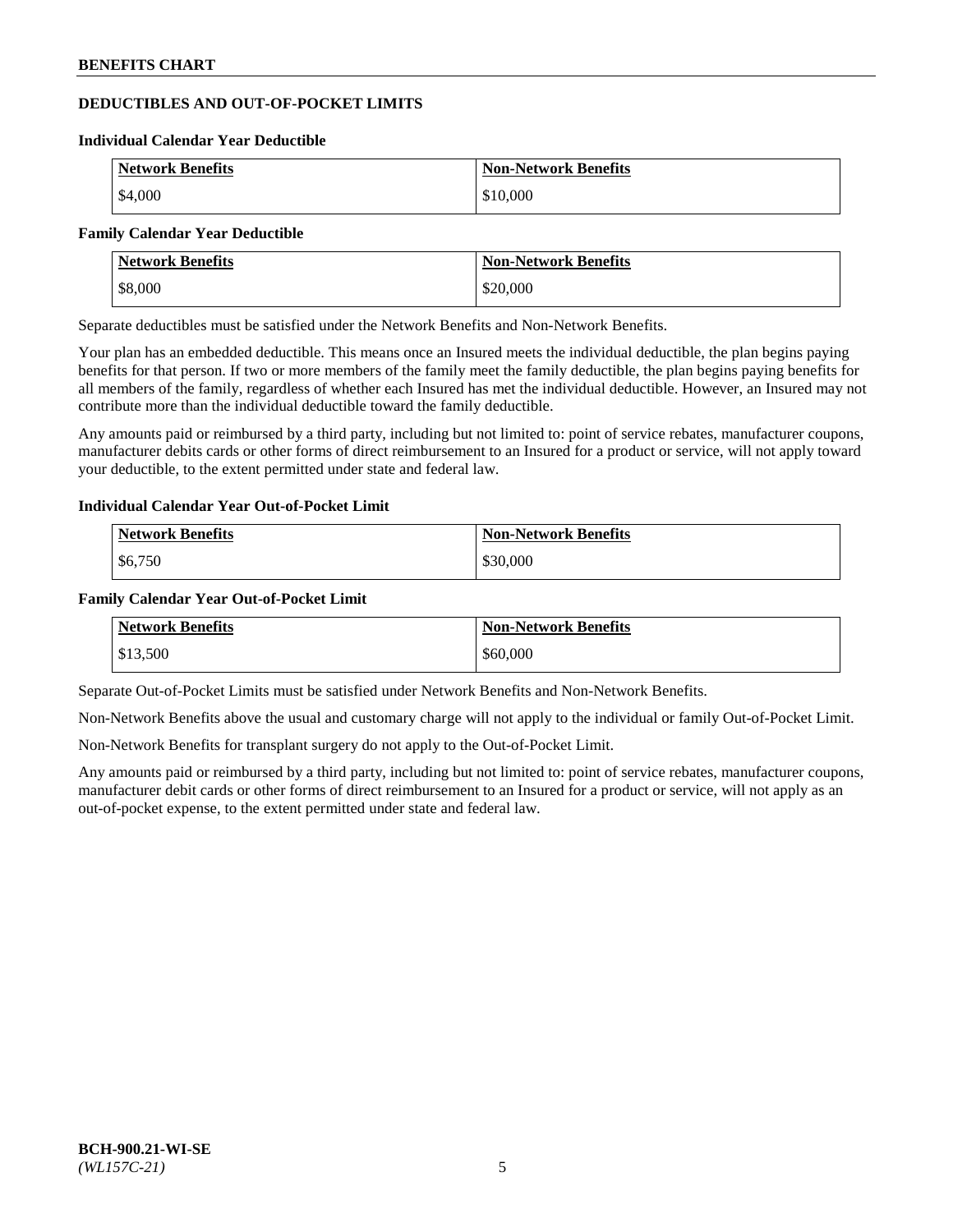# **DEDUCTIBLES AND OUT-OF-POCKET LIMITS**

#### **Individual Calendar Year Deductible**

| <b>Network Benefits</b> | <b>Non-Network Benefits</b> |
|-------------------------|-----------------------------|
| \$4,000                 | \$10,000                    |

#### **Family Calendar Year Deductible**

| <b>Network Benefits</b> | <b>Non-Network Benefits</b> |
|-------------------------|-----------------------------|
| \$8,000                 | \$20,000                    |

Separate deductibles must be satisfied under the Network Benefits and Non-Network Benefits.

Your plan has an embedded deductible. This means once an Insured meets the individual deductible, the plan begins paying benefits for that person. If two or more members of the family meet the family deductible, the plan begins paying benefits for all members of the family, regardless of whether each Insured has met the individual deductible. However, an Insured may not contribute more than the individual deductible toward the family deductible.

Any amounts paid or reimbursed by a third party, including but not limited to: point of service rebates, manufacturer coupons, manufacturer debits cards or other forms of direct reimbursement to an Insured for a product or service, will not apply toward your deductible, to the extent permitted under state and federal law.

#### **Individual Calendar Year Out-of-Pocket Limit**

| <b>Network Benefits</b> | <b>Non-Network Benefits</b> |
|-------------------------|-----------------------------|
| \$6,750                 | \$30,000                    |

#### **Family Calendar Year Out-of-Pocket Limit**

| <b>Network Benefits</b> | <b>Non-Network Benefits</b> |
|-------------------------|-----------------------------|
| \$13,500                | \$60,000                    |

Separate Out-of-Pocket Limits must be satisfied under Network Benefits and Non-Network Benefits.

Non-Network Benefits above the usual and customary charge will not apply to the individual or family Out-of-Pocket Limit.

Non-Network Benefits for transplant surgery do not apply to the Out-of-Pocket Limit.

Any amounts paid or reimbursed by a third party, including but not limited to: point of service rebates, manufacturer coupons, manufacturer debit cards or other forms of direct reimbursement to an Insured for a product or service, will not apply as an out-of-pocket expense, to the extent permitted under state and federal law.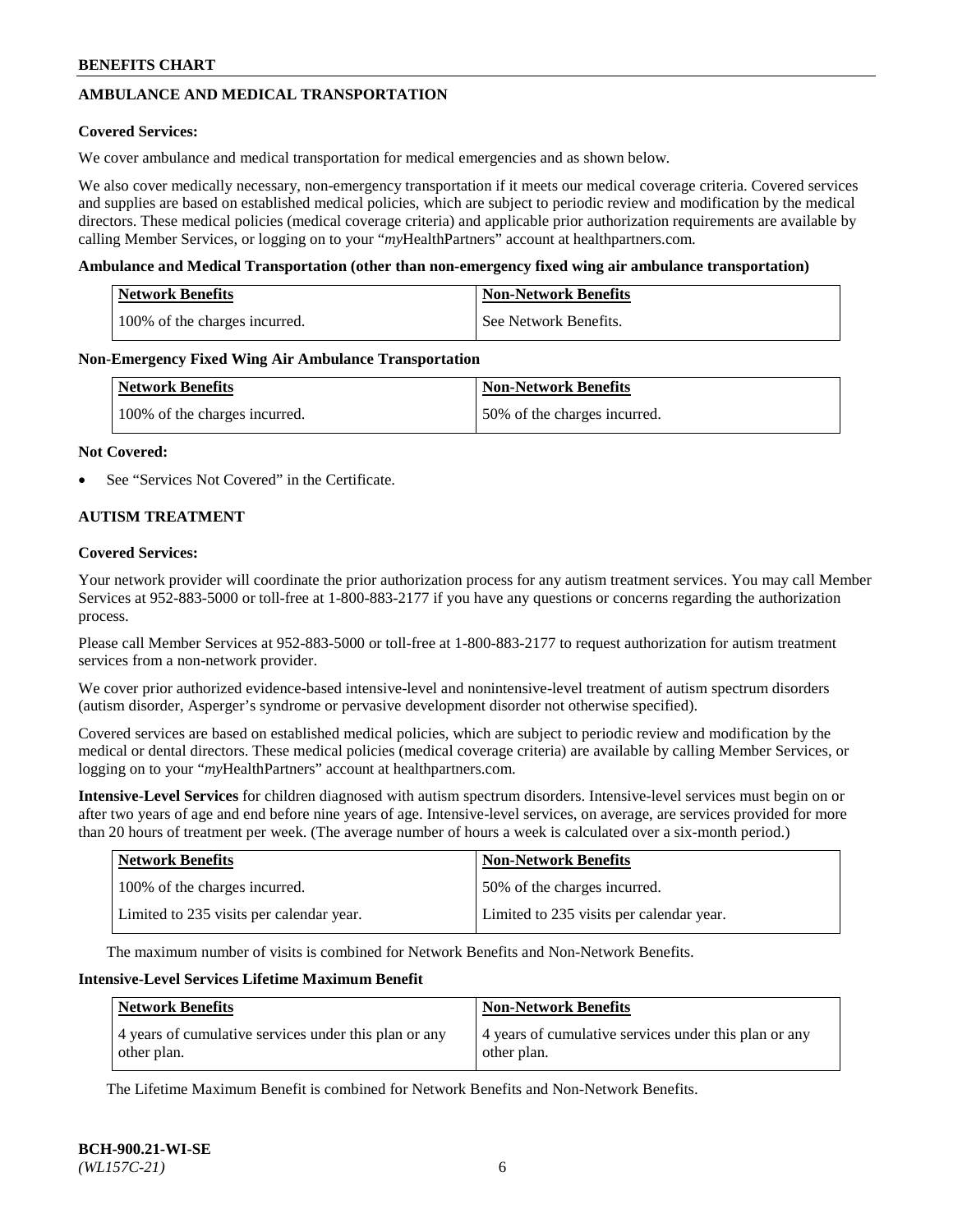# **AMBULANCE AND MEDICAL TRANSPORTATION**

#### **Covered Services:**

We cover ambulance and medical transportation for medical emergencies and as shown below.

We also cover medically necessary, non-emergency transportation if it meets our medical coverage criteria. Covered services and supplies are based on established medical policies, which are subject to periodic review and modification by the medical directors. These medical policies (medical coverage criteria) and applicable prior authorization requirements are available by calling Member Services, or logging on to your "*my*HealthPartners" account a[t healthpartners.com.](https://www.healthpartners.com/hp/index.html)

#### **Ambulance and Medical Transportation (other than non-emergency fixed wing air ambulance transportation)**

| <b>Network Benefits</b>       | <b>Non-Network Benefits</b> |
|-------------------------------|-----------------------------|
| 100% of the charges incurred. | See Network Benefits.       |

#### **Non-Emergency Fixed Wing Air Ambulance Transportation**

| <b>Network Benefits</b>       | <b>Non-Network Benefits</b>  |
|-------------------------------|------------------------------|
| 100% of the charges incurred. | 50% of the charges incurred. |

#### **Not Covered:**

See "Services Not Covered" in the Certificate.

# **AUTISM TREATMENT**

#### **Covered Services:**

Your network provider will coordinate the prior authorization process for any autism treatment services. You may call Member Services at 952-883-5000 or toll-free at 1-800-883-2177 if you have any questions or concerns regarding the authorization process.

Please call Member Services at 952-883-5000 or toll-free at 1-800-883-2177 to request authorization for autism treatment services from a non-network provider.

We cover prior authorized evidence-based intensive-level and nonintensive-level treatment of autism spectrum disorders (autism disorder, Asperger's syndrome or pervasive development disorder not otherwise specified).

Covered services are based on established medical policies, which are subject to periodic review and modification by the medical or dental directors. These medical policies (medical coverage criteria) are available by calling Member Services, or logging on to your "*my*HealthPartners" account at [healthpartners.com.](https://www.healthpartners.com/hp/index.html)

**Intensive-Level Services** for children diagnosed with autism spectrum disorders. Intensive-level services must begin on or after two years of age and end before nine years of age. Intensive-level services, on average, are services provided for more than 20 hours of treatment per week. (The average number of hours a week is calculated over a six-month period.)

| <b>Network Benefits</b>                  | <b>Non-Network Benefits</b>              |
|------------------------------------------|------------------------------------------|
| 100% of the charges incurred.            | 50% of the charges incurred.             |
| Limited to 235 visits per calendar year. | Limited to 235 visits per calendar year. |

The maximum number of visits is combined for Network Benefits and Non-Network Benefits.

#### **Intensive-Level Services Lifetime Maximum Benefit**

| <b>Network Benefits</b>                                              | <b>Non-Network Benefits</b>                                          |
|----------------------------------------------------------------------|----------------------------------------------------------------------|
| 4 years of cumulative services under this plan or any<br>other plan. | 4 years of cumulative services under this plan or any<br>other plan. |

The Lifetime Maximum Benefit is combined for Network Benefits and Non-Network Benefits.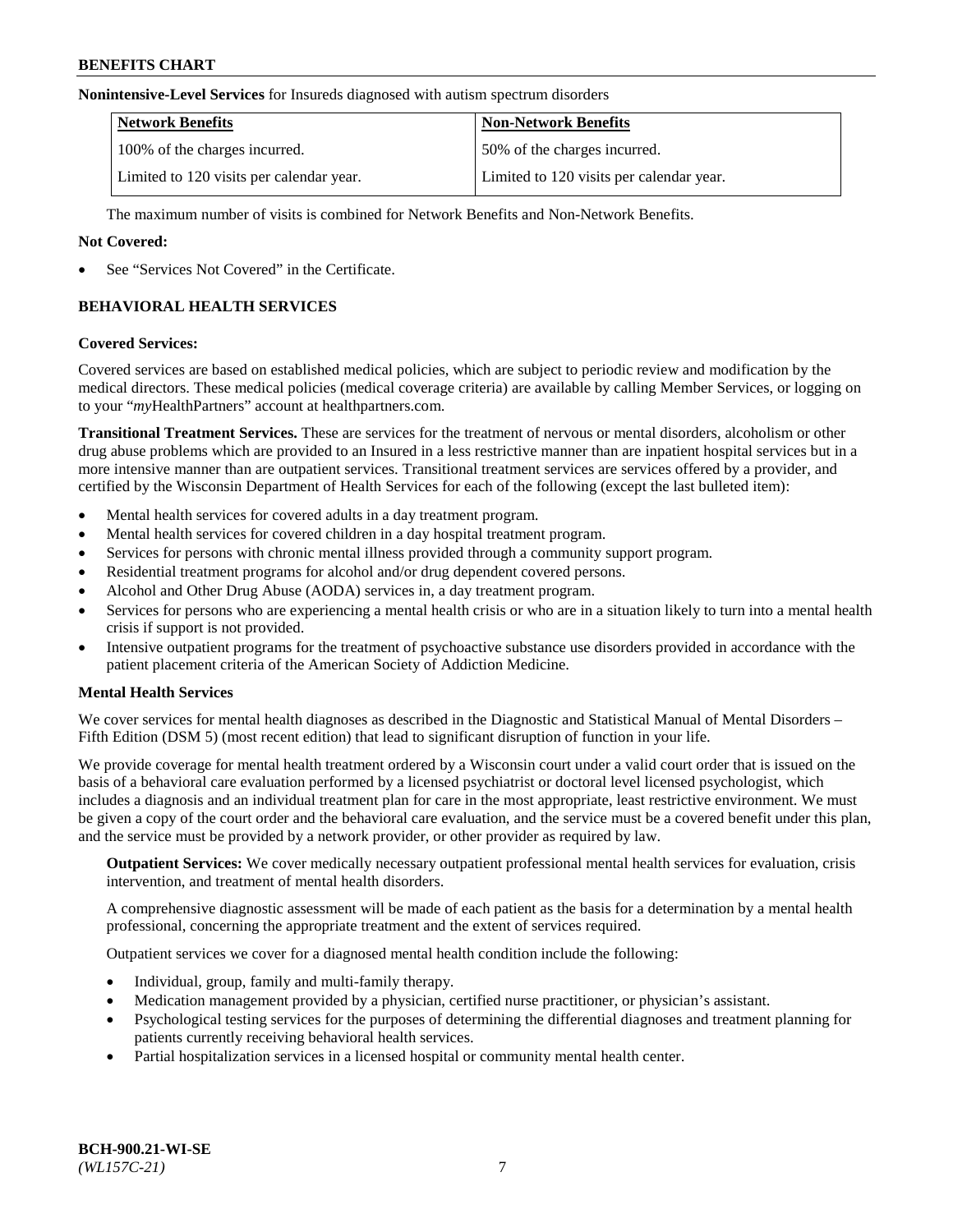#### **Nonintensive-Level Services** for Insureds diagnosed with autism spectrum disorders

| <b>Network Benefits</b>                  | <b>Non-Network Benefits</b>              |
|------------------------------------------|------------------------------------------|
| 100% of the charges incurred.            | 50% of the charges incurred.             |
| Limited to 120 visits per calendar year. | Limited to 120 visits per calendar year. |

The maximum number of visits is combined for Network Benefits and Non-Network Benefits.

#### **Not Covered:**

See "Services Not Covered" in the Certificate.

# **BEHAVIORAL HEALTH SERVICES**

#### **Covered Services:**

Covered services are based on established medical policies, which are subject to periodic review and modification by the medical directors. These medical policies (medical coverage criteria) are available by calling Member Services, or logging on to your "*my*HealthPartners" account at [healthpartners.com.](https://www.healthpartners.com/hp/index.html)

**Transitional Treatment Services.** These are services for the treatment of nervous or mental disorders, alcoholism or other drug abuse problems which are provided to an Insured in a less restrictive manner than are inpatient hospital services but in a more intensive manner than are outpatient services. Transitional treatment services are services offered by a provider, and certified by the Wisconsin Department of Health Services for each of the following (except the last bulleted item):

- Mental health services for covered adults in a day treatment program.
- Mental health services for covered children in a day hospital treatment program.
- Services for persons with chronic mental illness provided through a community support program.
- Residential treatment programs for alcohol and/or drug dependent covered persons.
- Alcohol and Other Drug Abuse (AODA) services in, a day treatment program.
- Services for persons who are experiencing a mental health crisis or who are in a situation likely to turn into a mental health crisis if support is not provided.
- Intensive outpatient programs for the treatment of psychoactive substance use disorders provided in accordance with the patient placement criteria of the American Society of Addiction Medicine.

# **Mental Health Services**

We cover services for mental health diagnoses as described in the Diagnostic and Statistical Manual of Mental Disorders – Fifth Edition (DSM 5) (most recent edition) that lead to significant disruption of function in your life.

We provide coverage for mental health treatment ordered by a Wisconsin court under a valid court order that is issued on the basis of a behavioral care evaluation performed by a licensed psychiatrist or doctoral level licensed psychologist, which includes a diagnosis and an individual treatment plan for care in the most appropriate, least restrictive environment. We must be given a copy of the court order and the behavioral care evaluation, and the service must be a covered benefit under this plan, and the service must be provided by a network provider, or other provider as required by law.

**Outpatient Services:** We cover medically necessary outpatient professional mental health services for evaluation, crisis intervention, and treatment of mental health disorders.

A comprehensive diagnostic assessment will be made of each patient as the basis for a determination by a mental health professional, concerning the appropriate treatment and the extent of services required.

Outpatient services we cover for a diagnosed mental health condition include the following:

- Individual, group, family and multi-family therapy.
- Medication management provided by a physician, certified nurse practitioner, or physician's assistant.
- Psychological testing services for the purposes of determining the differential diagnoses and treatment planning for patients currently receiving behavioral health services.
- Partial hospitalization services in a licensed hospital or community mental health center.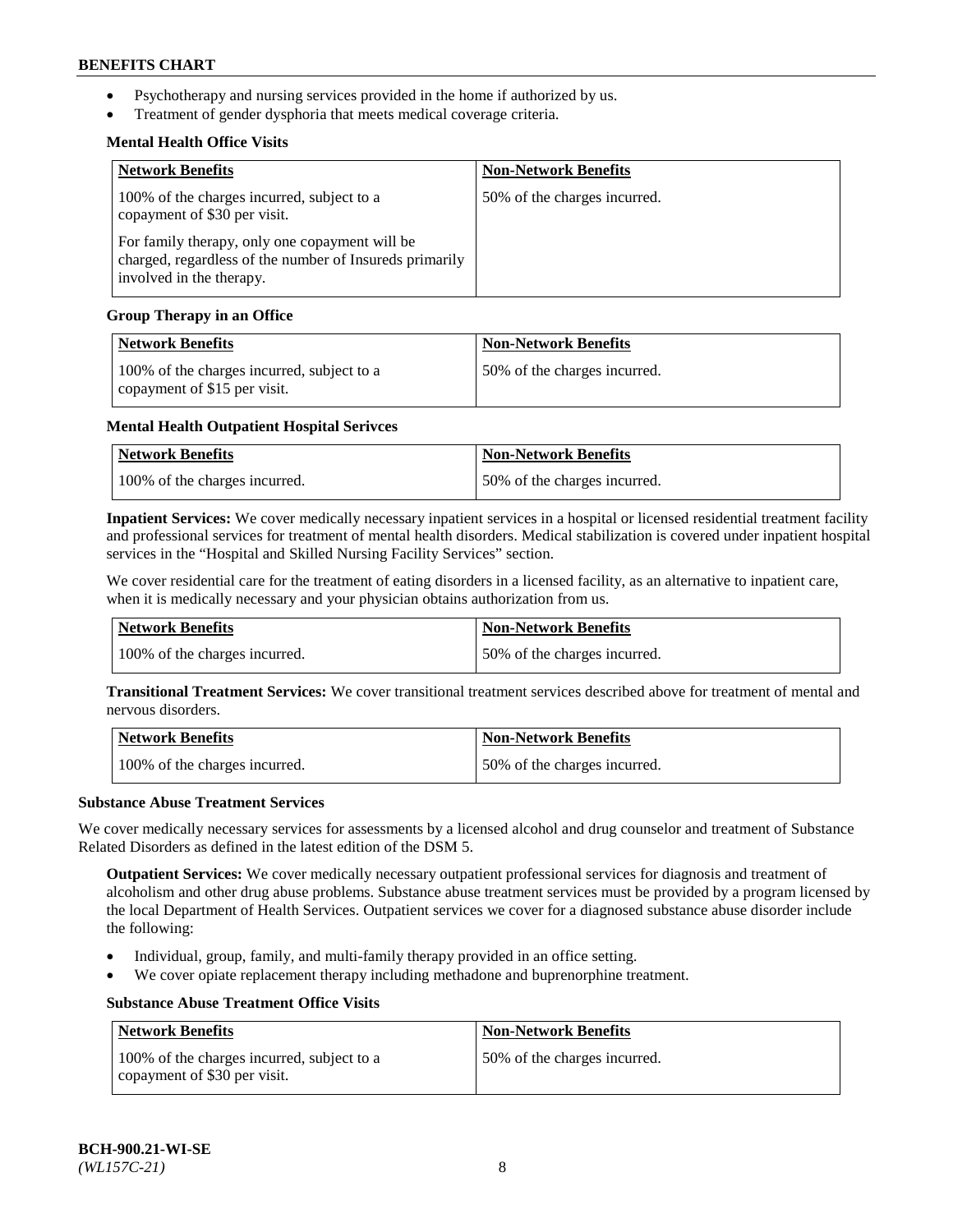- Psychotherapy and nursing services provided in the home if authorized by us.
- Treatment of gender dysphoria that meets medical coverage criteria.

# **Mental Health Office Visits**

| <b>Network Benefits</b>                                                                                                               | <b>Non-Network Benefits</b>  |
|---------------------------------------------------------------------------------------------------------------------------------------|------------------------------|
| 100% of the charges incurred, subject to a<br>copayment of \$30 per visit.                                                            | 50% of the charges incurred. |
| For family therapy, only one copayment will be<br>charged, regardless of the number of Insureds primarily<br>involved in the therapy. |                              |

# **Group Therapy in an Office**

| <b>Network Benefits</b>                                                    | <b>Non-Network Benefits</b>  |
|----------------------------------------------------------------------------|------------------------------|
| 100% of the charges incurred, subject to a<br>copayment of \$15 per visit. | 50% of the charges incurred. |

# **Mental Health Outpatient Hospital Serivces**

| Network Benefits              | <b>Non-Network Benefits</b>  |
|-------------------------------|------------------------------|
| 100% of the charges incurred. | 50% of the charges incurred. |

**Inpatient Services:** We cover medically necessary inpatient services in a hospital or licensed residential treatment facility and professional services for treatment of mental health disorders. Medical stabilization is covered under inpatient hospital services in the "Hospital and Skilled Nursing Facility Services" section.

We cover residential care for the treatment of eating disorders in a licensed facility, as an alternative to inpatient care, when it is medically necessary and your physician obtains authorization from us.

| Network Benefits              | <b>Non-Network Benefits</b>  |
|-------------------------------|------------------------------|
| 100% of the charges incurred. | 50% of the charges incurred. |

**Transitional Treatment Services:** We cover transitional treatment services described above for treatment of mental and nervous disorders.

| Network Benefits              | <b>Non-Network Benefits</b>  |
|-------------------------------|------------------------------|
| 100% of the charges incurred. | 50% of the charges incurred. |

#### **Substance Abuse Treatment Services**

We cover medically necessary services for assessments by a licensed alcohol and drug counselor and treatment of Substance Related Disorders as defined in the latest edition of the DSM 5.

**Outpatient Services:** We cover medically necessary outpatient professional services for diagnosis and treatment of alcoholism and other drug abuse problems. Substance abuse treatment services must be provided by a program licensed by the local Department of Health Services. Outpatient services we cover for a diagnosed substance abuse disorder include the following:

- Individual, group, family, and multi-family therapy provided in an office setting.
- We cover opiate replacement therapy including methadone and buprenorphine treatment.

# **Substance Abuse Treatment Office Visits**

| Network Benefits                                                           | <b>Non-Network Benefits</b>  |
|----------------------------------------------------------------------------|------------------------------|
| 100% of the charges incurred, subject to a<br>copayment of \$30 per visit. | 50% of the charges incurred. |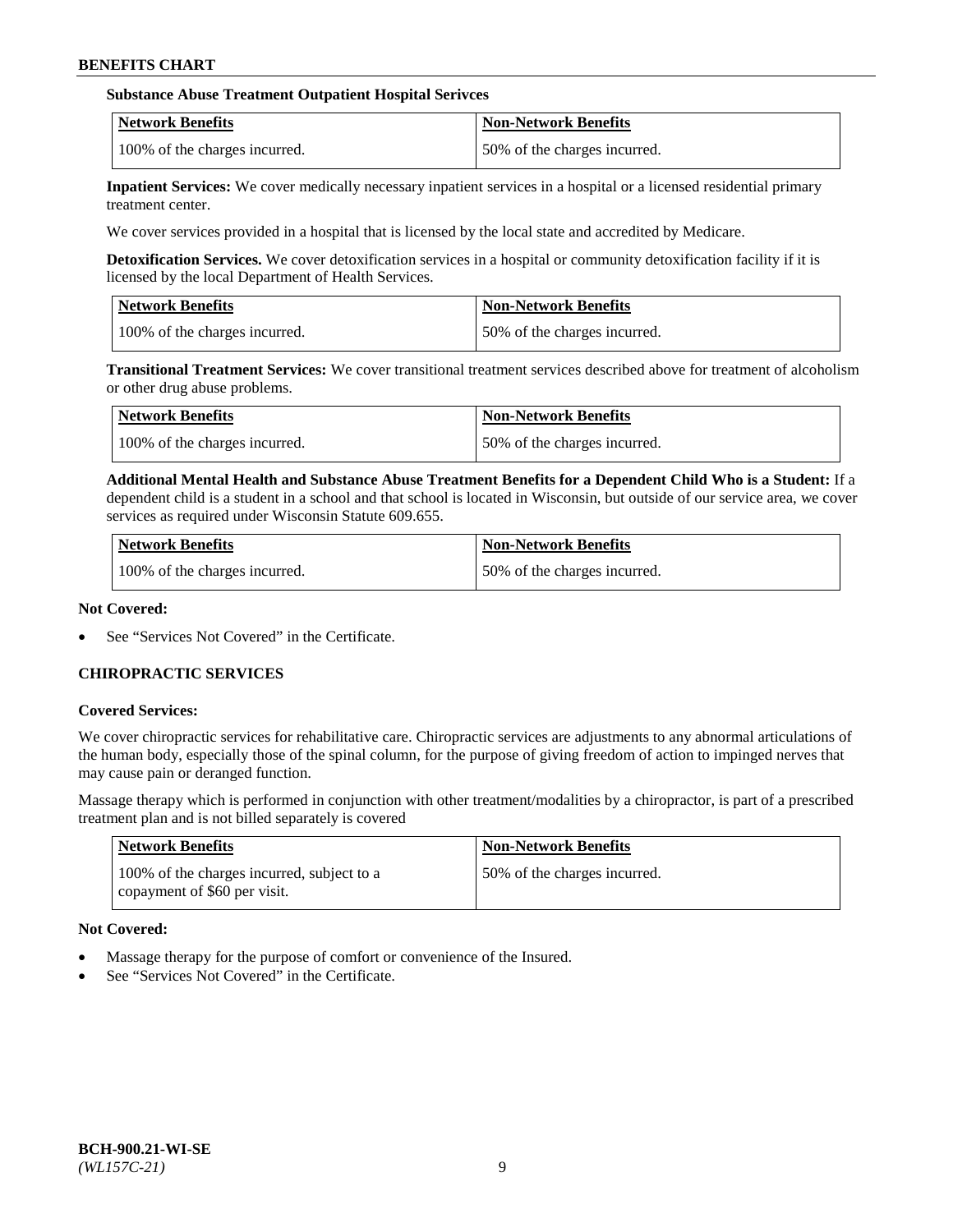## **Substance Abuse Treatment Outpatient Hospital Serivces**

| Network Benefits              | <b>Non-Network Benefits</b>  |
|-------------------------------|------------------------------|
| 100% of the charges incurred. | 50% of the charges incurred. |

**Inpatient Services:** We cover medically necessary inpatient services in a hospital or a licensed residential primary treatment center.

We cover services provided in a hospital that is licensed by the local state and accredited by Medicare.

**Detoxification Services.** We cover detoxification services in a hospital or community detoxification facility if it is licensed by the local Department of Health Services.

| <b>Network Benefits</b>       | <b>Non-Network Benefits</b>  |
|-------------------------------|------------------------------|
| 100% of the charges incurred. | 50% of the charges incurred. |

**Transitional Treatment Services:** We cover transitional treatment services described above for treatment of alcoholism or other drug abuse problems.

| Network Benefits              | <b>Non-Network Benefits</b>  |
|-------------------------------|------------------------------|
| 100% of the charges incurred. | 50% of the charges incurred. |

**Additional Mental Health and Substance Abuse Treatment Benefits for a Dependent Child Who is a Student:** If a dependent child is a student in a school and that school is located in Wisconsin, but outside of our service area, we cover services as required under Wisconsin Statute 609.655.

| <b>Network Benefits</b>       | <b>Non-Network Benefits</b>  |
|-------------------------------|------------------------------|
| 100% of the charges incurred. | 50% of the charges incurred. |

#### **Not Covered:**

See "Services Not Covered" in the Certificate.

# **CHIROPRACTIC SERVICES**

#### **Covered Services:**

We cover chiropractic services for rehabilitative care. Chiropractic services are adjustments to any abnormal articulations of the human body, especially those of the spinal column, for the purpose of giving freedom of action to impinged nerves that may cause pain or deranged function.

Massage therapy which is performed in conjunction with other treatment/modalities by a chiropractor, is part of a prescribed treatment plan and is not billed separately is covered

| <b>Network Benefits</b>                                                    | <b>Non-Network Benefits</b>  |
|----------------------------------------------------------------------------|------------------------------|
| 100% of the charges incurred, subject to a<br>copayment of \$60 per visit. | 50% of the charges incurred. |

# **Not Covered:**

- Massage therapy for the purpose of comfort or convenience of the Insured.
- See "Services Not Covered" in the Certificate.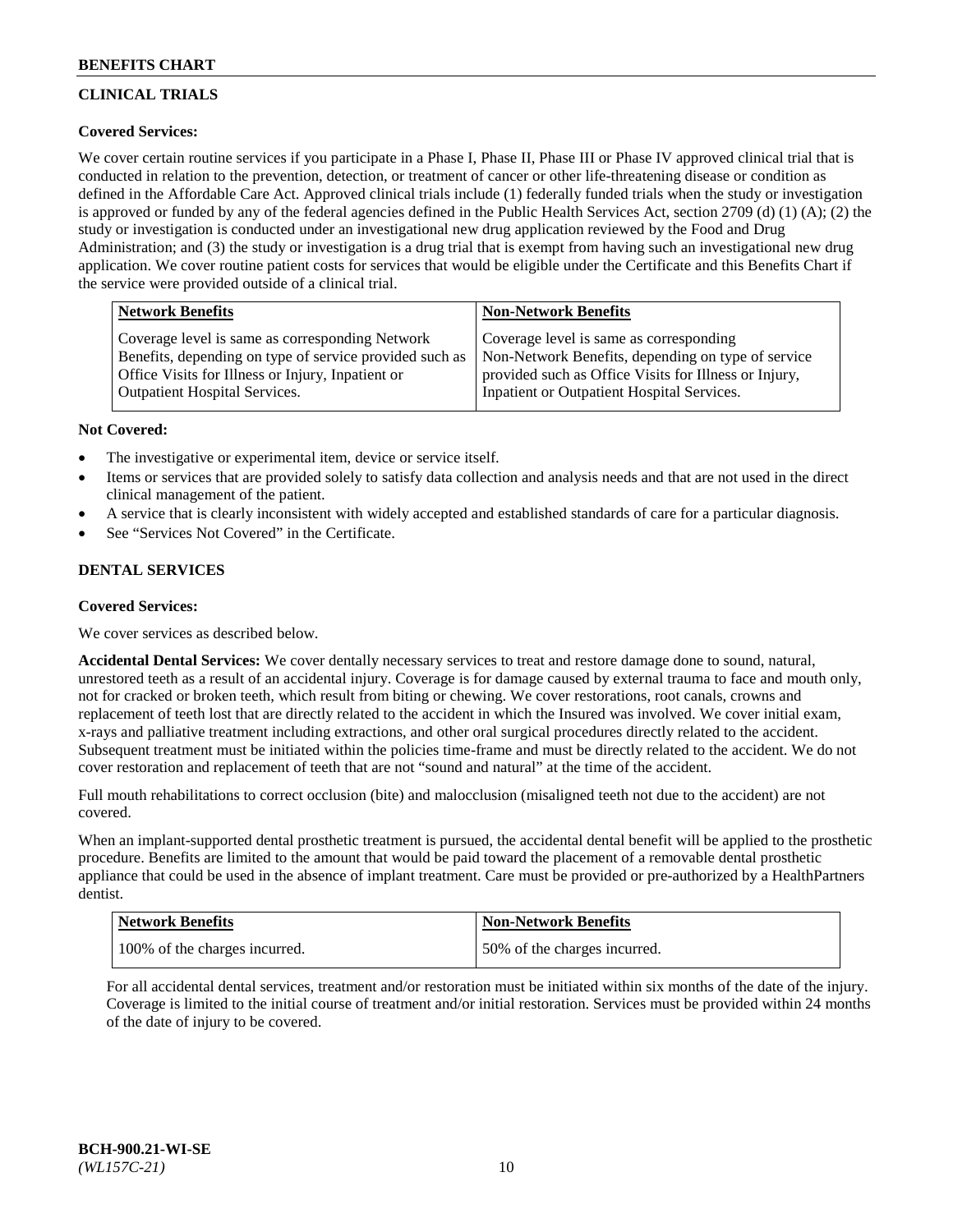# **CLINICAL TRIALS**

# **Covered Services:**

We cover certain routine services if you participate in a Phase I, Phase II, Phase III or Phase IV approved clinical trial that is conducted in relation to the prevention, detection, or treatment of cancer or other life-threatening disease or condition as defined in the Affordable Care Act. Approved clinical trials include (1) federally funded trials when the study or investigation is approved or funded by any of the federal agencies defined in the Public Health Services Act, section 2709 (d) (1) (A); (2) the study or investigation is conducted under an investigational new drug application reviewed by the Food and Drug Administration; and (3) the study or investigation is a drug trial that is exempt from having such an investigational new drug application. We cover routine patient costs for services that would be eligible under the Certificate and this Benefits Chart if the service were provided outside of a clinical trial.

| <b>Network Benefits</b>                                 | <b>Non-Network Benefits</b>                           |
|---------------------------------------------------------|-------------------------------------------------------|
| Coverage level is same as corresponding Network         | Coverage level is same as corresponding               |
| Benefits, depending on type of service provided such as | Non-Network Benefits, depending on type of service    |
| Office Visits for Illness or Injury, Inpatient or       | provided such as Office Visits for Illness or Injury, |
| Outpatient Hospital Services.                           | Inpatient or Outpatient Hospital Services.            |

#### **Not Covered:**

- The investigative or experimental item, device or service itself.
- Items or services that are provided solely to satisfy data collection and analysis needs and that are not used in the direct clinical management of the patient.
- A service that is clearly inconsistent with widely accepted and established standards of care for a particular diagnosis.
- See "Services Not Covered" in the Certificate.

# **DENTAL SERVICES**

# **Covered Services:**

We cover services as described below.

**Accidental Dental Services:** We cover dentally necessary services to treat and restore damage done to sound, natural, unrestored teeth as a result of an accidental injury. Coverage is for damage caused by external trauma to face and mouth only, not for cracked or broken teeth, which result from biting or chewing. We cover restorations, root canals, crowns and replacement of teeth lost that are directly related to the accident in which the Insured was involved. We cover initial exam, x-rays and palliative treatment including extractions, and other oral surgical procedures directly related to the accident. Subsequent treatment must be initiated within the policies time-frame and must be directly related to the accident. We do not cover restoration and replacement of teeth that are not "sound and natural" at the time of the accident.

Full mouth rehabilitations to correct occlusion (bite) and malocclusion (misaligned teeth not due to the accident) are not covered.

When an implant-supported dental prosthetic treatment is pursued, the accidental dental benefit will be applied to the prosthetic procedure. Benefits are limited to the amount that would be paid toward the placement of a removable dental prosthetic appliance that could be used in the absence of implant treatment. Care must be provided or pre-authorized by a HealthPartners dentist.

| Network Benefits              | <b>Non-Network Benefits</b>  |
|-------------------------------|------------------------------|
| 100% of the charges incurred. | 50% of the charges incurred. |

For all accidental dental services, treatment and/or restoration must be initiated within six months of the date of the injury. Coverage is limited to the initial course of treatment and/or initial restoration. Services must be provided within 24 months of the date of injury to be covered.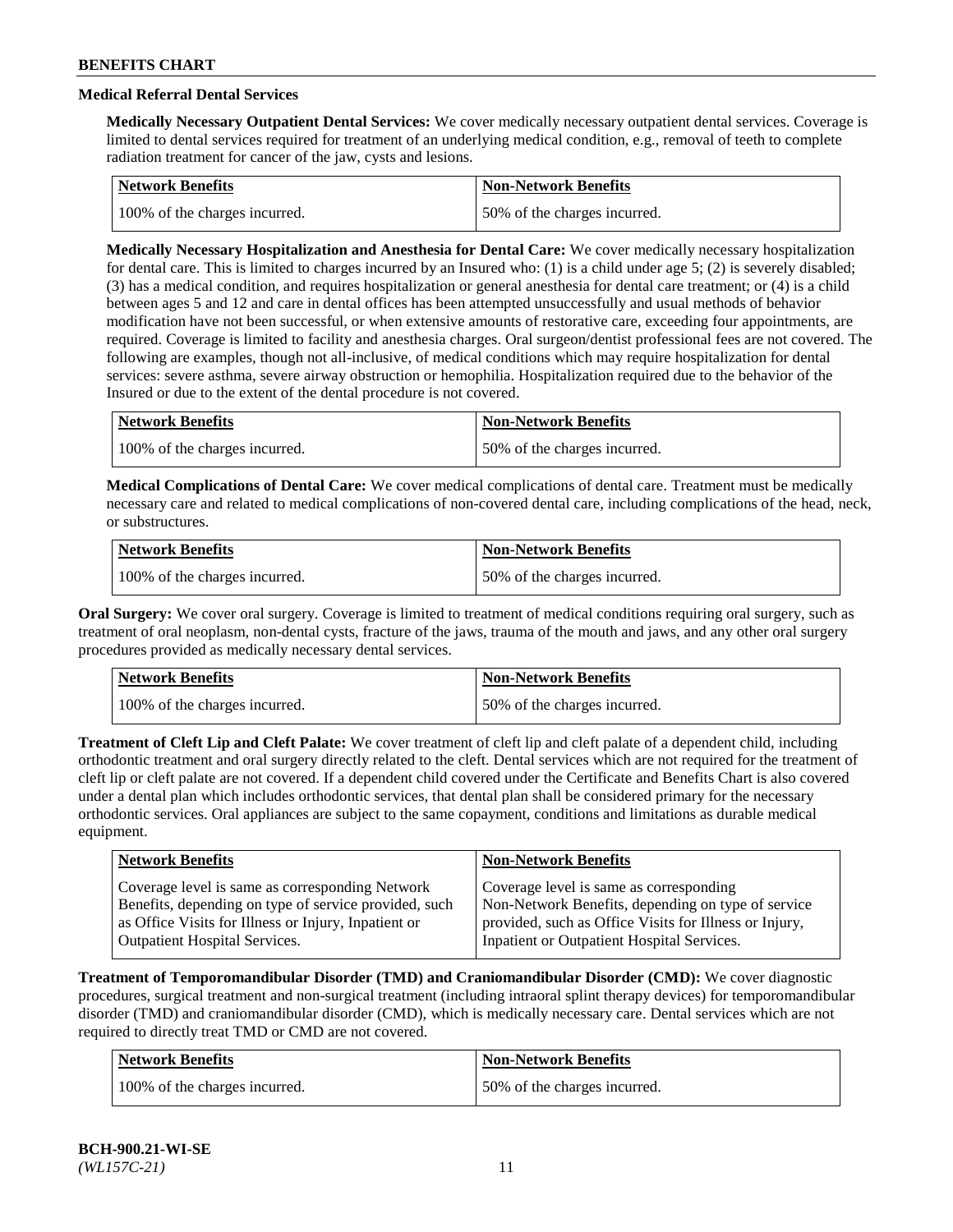# **Medical Referral Dental Services**

**Medically Necessary Outpatient Dental Services:** We cover medically necessary outpatient dental services. Coverage is limited to dental services required for treatment of an underlying medical condition, e.g., removal of teeth to complete radiation treatment for cancer of the jaw, cysts and lesions.

| <b>Network Benefits</b>       | Non-Network Benefits         |
|-------------------------------|------------------------------|
| 100% of the charges incurred. | 50% of the charges incurred. |

**Medically Necessary Hospitalization and Anesthesia for Dental Care:** We cover medically necessary hospitalization for dental care. This is limited to charges incurred by an Insured who: (1) is a child under age  $5$ ; (2) is severely disabled; (3) has a medical condition, and requires hospitalization or general anesthesia for dental care treatment; or (4) is a child between ages 5 and 12 and care in dental offices has been attempted unsuccessfully and usual methods of behavior modification have not been successful, or when extensive amounts of restorative care, exceeding four appointments, are required. Coverage is limited to facility and anesthesia charges. Oral surgeon/dentist professional fees are not covered. The following are examples, though not all-inclusive, of medical conditions which may require hospitalization for dental services: severe asthma, severe airway obstruction or hemophilia. Hospitalization required due to the behavior of the Insured or due to the extent of the dental procedure is not covered.

| Network Benefits              | <b>Non-Network Benefits</b>  |
|-------------------------------|------------------------------|
| 100% of the charges incurred. | 50% of the charges incurred. |

**Medical Complications of Dental Care:** We cover medical complications of dental care. Treatment must be medically necessary care and related to medical complications of non-covered dental care, including complications of the head, neck, or substructures.

| Network Benefits              | <b>Non-Network Benefits</b>  |
|-------------------------------|------------------------------|
| 100% of the charges incurred. | 50% of the charges incurred. |

**Oral Surgery:** We cover oral surgery. Coverage is limited to treatment of medical conditions requiring oral surgery, such as treatment of oral neoplasm, non-dental cysts, fracture of the jaws, trauma of the mouth and jaws, and any other oral surgery procedures provided as medically necessary dental services.

| Network Benefits              | <b>Non-Network Benefits</b>  |
|-------------------------------|------------------------------|
| 100% of the charges incurred. | 50% of the charges incurred. |

**Treatment of Cleft Lip and Cleft Palate:** We cover treatment of cleft lip and cleft palate of a dependent child, including orthodontic treatment and oral surgery directly related to the cleft. Dental services which are not required for the treatment of cleft lip or cleft palate are not covered. If a dependent child covered under the Certificate and Benefits Chart is also covered under a dental plan which includes orthodontic services, that dental plan shall be considered primary for the necessary orthodontic services. Oral appliances are subject to the same copayment, conditions and limitations as durable medical equipment.

| <b>Network Benefits</b>                               | <b>Non-Network Benefits</b>                            |
|-------------------------------------------------------|--------------------------------------------------------|
| Coverage level is same as corresponding Network       | Coverage level is same as corresponding                |
| Benefits, depending on type of service provided, such | Non-Network Benefits, depending on type of service     |
| as Office Visits for Illness or Injury, Inpatient or  | provided, such as Office Visits for Illness or Injury, |
| Outpatient Hospital Services.                         | Inpatient or Outpatient Hospital Services.             |

**Treatment of Temporomandibular Disorder (TMD) and Craniomandibular Disorder (CMD):** We cover diagnostic procedures, surgical treatment and non-surgical treatment (including intraoral splint therapy devices) for temporomandibular disorder (TMD) and craniomandibular disorder (CMD), which is medically necessary care. Dental services which are not required to directly treat TMD or CMD are not covered.

| Network Benefits              | <b>Non-Network Benefits</b>  |
|-------------------------------|------------------------------|
| 100% of the charges incurred. | 50% of the charges incurred. |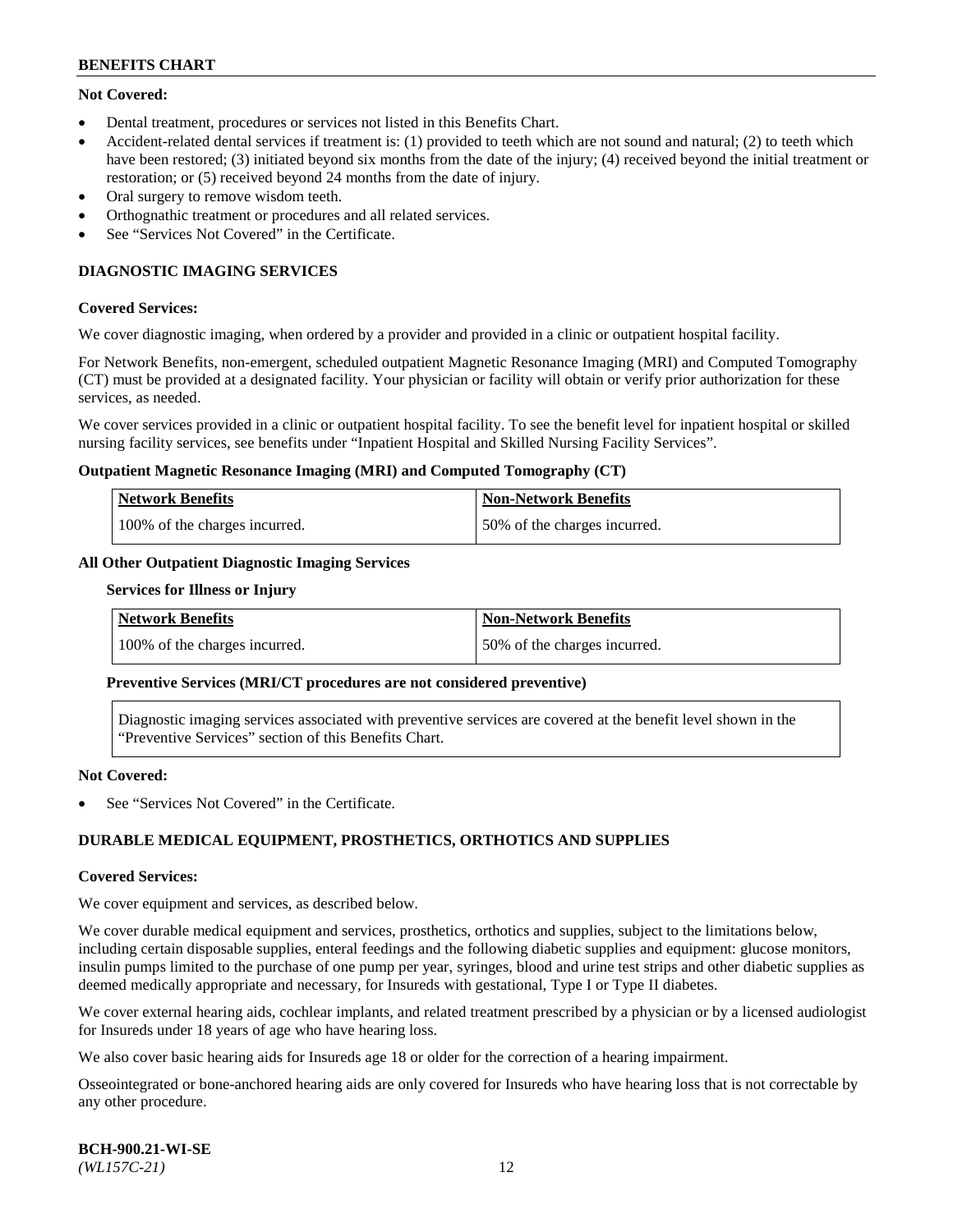# **Not Covered:**

- Dental treatment, procedures or services not listed in this Benefits Chart.
- Accident-related dental services if treatment is: (1) provided to teeth which are not sound and natural; (2) to teeth which have been restored; (3) initiated beyond six months from the date of the injury; (4) received beyond the initial treatment or restoration; or (5) received beyond 24 months from the date of injury.
- Oral surgery to remove wisdom teeth.
- Orthognathic treatment or procedures and all related services.
- See "Services Not Covered" in the Certificate.

# **DIAGNOSTIC IMAGING SERVICES**

#### **Covered Services:**

We cover diagnostic imaging, when ordered by a provider and provided in a clinic or outpatient hospital facility.

For Network Benefits, non-emergent, scheduled outpatient Magnetic Resonance Imaging (MRI) and Computed Tomography (CT) must be provided at a designated facility. Your physician or facility will obtain or verify prior authorization for these services, as needed.

We cover services provided in a clinic or outpatient hospital facility. To see the benefit level for inpatient hospital or skilled nursing facility services, see benefits under "Inpatient Hospital and Skilled Nursing Facility Services".

#### **Outpatient Magnetic Resonance Imaging (MRI) and Computed Tomography (CT)**

| <b>Network Benefits</b>       | <b>Non-Network Benefits</b>  |
|-------------------------------|------------------------------|
| 100% of the charges incurred. | 50% of the charges incurred. |

# **All Other Outpatient Diagnostic Imaging Services**

#### **Services for Illness or Injury**

| <b>Network Benefits</b>       | Non-Network Benefits         |
|-------------------------------|------------------------------|
| 100% of the charges incurred. | 50% of the charges incurred. |

#### **Preventive Services (MRI/CT procedures are not considered preventive)**

Diagnostic imaging services associated with preventive services are covered at the benefit level shown in the "Preventive Services" section of this Benefits Chart.

#### **Not Covered:**

See "Services Not Covered" in the Certificate.

# **DURABLE MEDICAL EQUIPMENT, PROSTHETICS, ORTHOTICS AND SUPPLIES**

#### **Covered Services:**

We cover equipment and services, as described below.

We cover durable medical equipment and services, prosthetics, orthotics and supplies, subject to the limitations below, including certain disposable supplies, enteral feedings and the following diabetic supplies and equipment: glucose monitors, insulin pumps limited to the purchase of one pump per year, syringes, blood and urine test strips and other diabetic supplies as deemed medically appropriate and necessary, for Insureds with gestational, Type I or Type II diabetes.

We cover external hearing aids, cochlear implants, and related treatment prescribed by a physician or by a licensed audiologist for Insureds under 18 years of age who have hearing loss.

We also cover basic hearing aids for Insureds age 18 or older for the correction of a hearing impairment.

Osseointegrated or bone-anchored hearing aids are only covered for Insureds who have hearing loss that is not correctable by any other procedure.

| <b>BCH-900.21-WI-SE</b> |  |
|-------------------------|--|
| $(WLI57C-21)$           |  |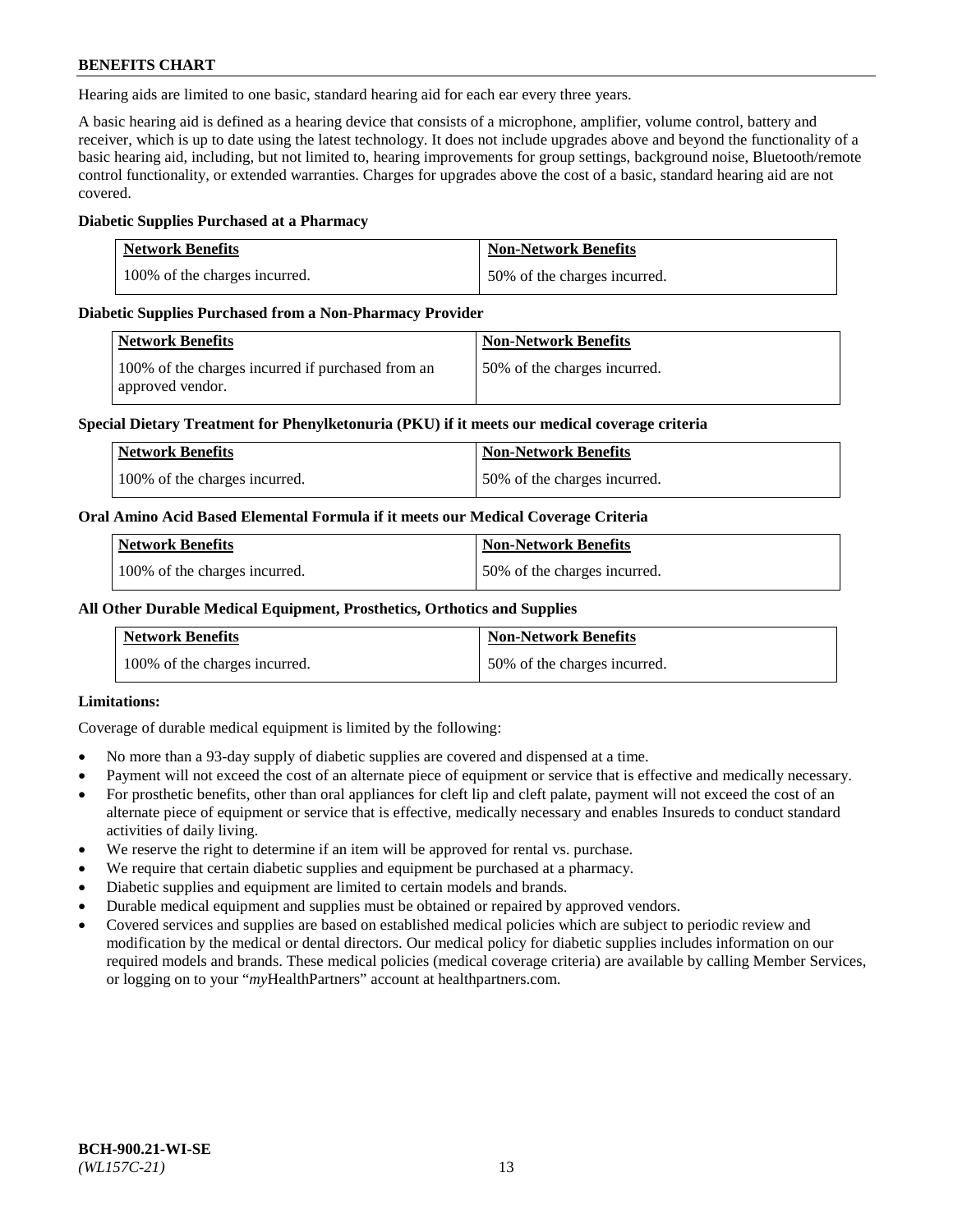Hearing aids are limited to one basic, standard hearing aid for each ear every three years.

A basic hearing aid is defined as a hearing device that consists of a microphone, amplifier, volume control, battery and receiver, which is up to date using the latest technology. It does not include upgrades above and beyond the functionality of a basic hearing aid, including, but not limited to, hearing improvements for group settings, background noise, Bluetooth/remote control functionality, or extended warranties. Charges for upgrades above the cost of a basic, standard hearing aid are not covered.

#### **Diabetic Supplies Purchased at a Pharmacy**

| <b>Network Benefits</b>       | <b>Non-Network Benefits</b>  |
|-------------------------------|------------------------------|
| 100% of the charges incurred. | 50% of the charges incurred. |

#### **Diabetic Supplies Purchased from a Non-Pharmacy Provider**

| Network Benefits                                                      | <b>Non-Network Benefits</b>  |
|-----------------------------------------------------------------------|------------------------------|
| 100% of the charges incurred if purchased from an<br>approved vendor. | 50% of the charges incurred. |

#### **Special Dietary Treatment for Phenylketonuria (PKU) if it meets our medical coverage criteria**

| <b>Network Benefits</b>       | <b>Non-Network Benefits</b>  |
|-------------------------------|------------------------------|
| 100% of the charges incurred. | 50% of the charges incurred. |

#### **Oral Amino Acid Based Elemental Formula if it meets our Medical Coverage Criteria**

| <b>Network Benefits</b>       | <b>Non-Network Benefits</b>  |
|-------------------------------|------------------------------|
| 100% of the charges incurred. | 50% of the charges incurred. |

#### **All Other Durable Medical Equipment, Prosthetics, Orthotics and Supplies**

| <b>Network Benefits</b>       | <b>Non-Network Benefits</b>  |
|-------------------------------|------------------------------|
| 100% of the charges incurred. | 50% of the charges incurred. |

# **Limitations:**

Coverage of durable medical equipment is limited by the following:

- No more than a 93-day supply of diabetic supplies are covered and dispensed at a time.
- Payment will not exceed the cost of an alternate piece of equipment or service that is effective and medically necessary.
- For prosthetic benefits, other than oral appliances for cleft lip and cleft palate, payment will not exceed the cost of an alternate piece of equipment or service that is effective, medically necessary and enables Insureds to conduct standard activities of daily living.
- We reserve the right to determine if an item will be approved for rental vs. purchase.
- We require that certain diabetic supplies and equipment be purchased at a pharmacy.
- Diabetic supplies and equipment are limited to certain models and brands.
- Durable medical equipment and supplies must be obtained or repaired by approved vendors.
- Covered services and supplies are based on established medical policies which are subject to periodic review and modification by the medical or dental directors. Our medical policy for diabetic supplies includes information on our required models and brands. These medical policies (medical coverage criteria) are available by calling Member Services, or logging on to your "*my*HealthPartners" account a[t healthpartners.com.](https://www.healthpartners.com/hp/index.html)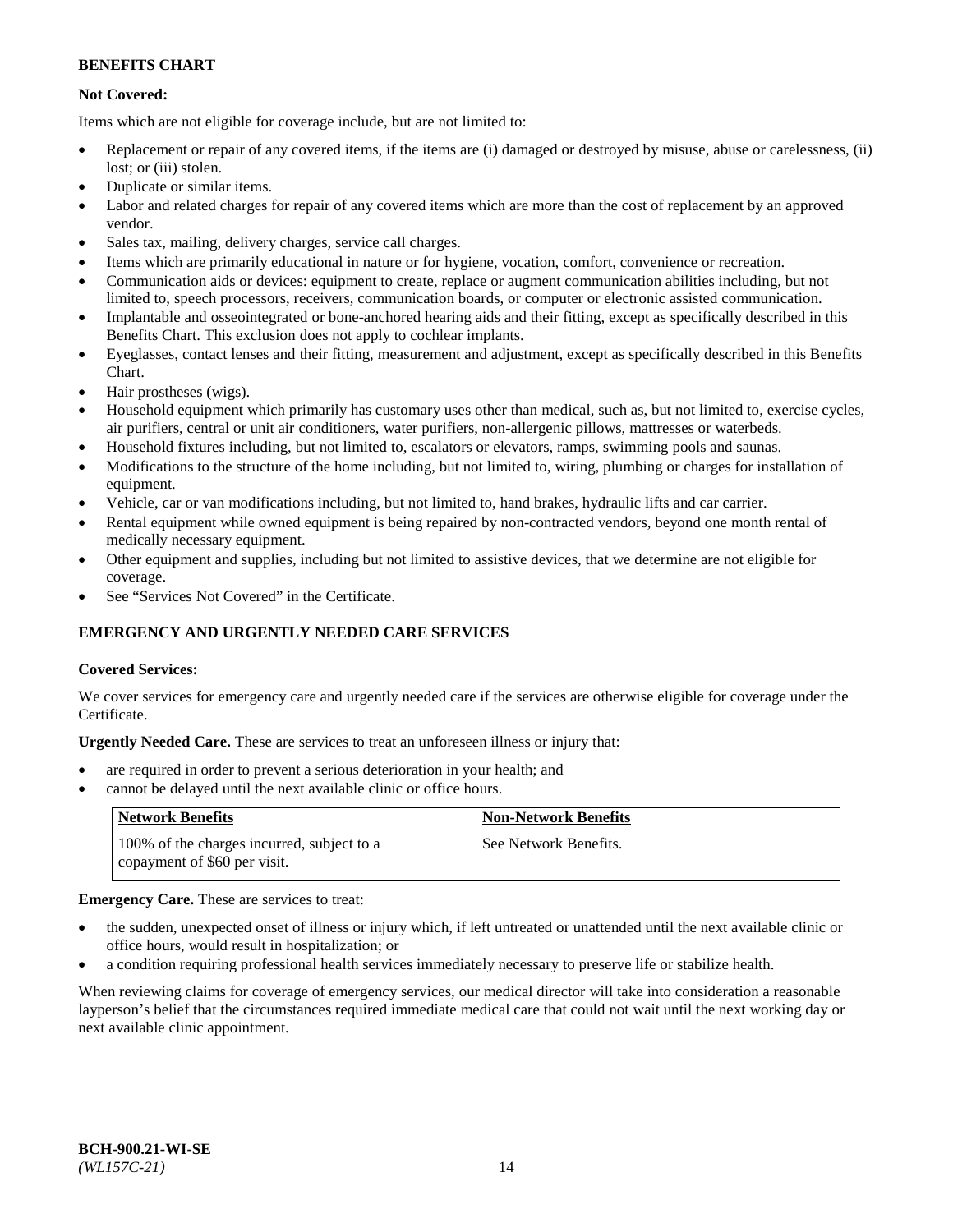# **Not Covered:**

Items which are not eligible for coverage include, but are not limited to:

- Replacement or repair of any covered items, if the items are (i) damaged or destroyed by misuse, abuse or carelessness, (ii) lost; or (iii) stolen.
- Duplicate or similar items.
- Labor and related charges for repair of any covered items which are more than the cost of replacement by an approved vendor.
- Sales tax, mailing, delivery charges, service call charges.
- Items which are primarily educational in nature or for hygiene, vocation, comfort, convenience or recreation.
- Communication aids or devices: equipment to create, replace or augment communication abilities including, but not limited to, speech processors, receivers, communication boards, or computer or electronic assisted communication.
- Implantable and osseointegrated or bone-anchored hearing aids and their fitting, except as specifically described in this Benefits Chart. This exclusion does not apply to cochlear implants.
- Eyeglasses, contact lenses and their fitting, measurement and adjustment, except as specifically described in this Benefits Chart.
- Hair prostheses (wigs).
- Household equipment which primarily has customary uses other than medical, such as, but not limited to, exercise cycles, air purifiers, central or unit air conditioners, water purifiers, non-allergenic pillows, mattresses or waterbeds.
- Household fixtures including, but not limited to, escalators or elevators, ramps, swimming pools and saunas.
- Modifications to the structure of the home including, but not limited to, wiring, plumbing or charges for installation of equipment.
- Vehicle, car or van modifications including, but not limited to, hand brakes, hydraulic lifts and car carrier.
- Rental equipment while owned equipment is being repaired by non-contracted vendors, beyond one month rental of medically necessary equipment.
- Other equipment and supplies, including but not limited to assistive devices, that we determine are not eligible for coverage.
- See "Services Not Covered" in the Certificate.

# **EMERGENCY AND URGENTLY NEEDED CARE SERVICES**

# **Covered Services:**

We cover services for emergency care and urgently needed care if the services are otherwise eligible for coverage under the Certificate.

**Urgently Needed Care.** These are services to treat an unforeseen illness or injury that:

- are required in order to prevent a serious deterioration in your health; and
- cannot be delayed until the next available clinic or office hours.

| <b>Network Benefits</b>                                                    | <b>Non-Network Benefits</b> |
|----------------------------------------------------------------------------|-----------------------------|
| 100% of the charges incurred, subject to a<br>copayment of \$60 per visit. | See Network Benefits.       |

# **Emergency Care.** These are services to treat:

- the sudden, unexpected onset of illness or injury which, if left untreated or unattended until the next available clinic or office hours, would result in hospitalization; or
- a condition requiring professional health services immediately necessary to preserve life or stabilize health.

When reviewing claims for coverage of emergency services, our medical director will take into consideration a reasonable layperson's belief that the circumstances required immediate medical care that could not wait until the next working day or next available clinic appointment.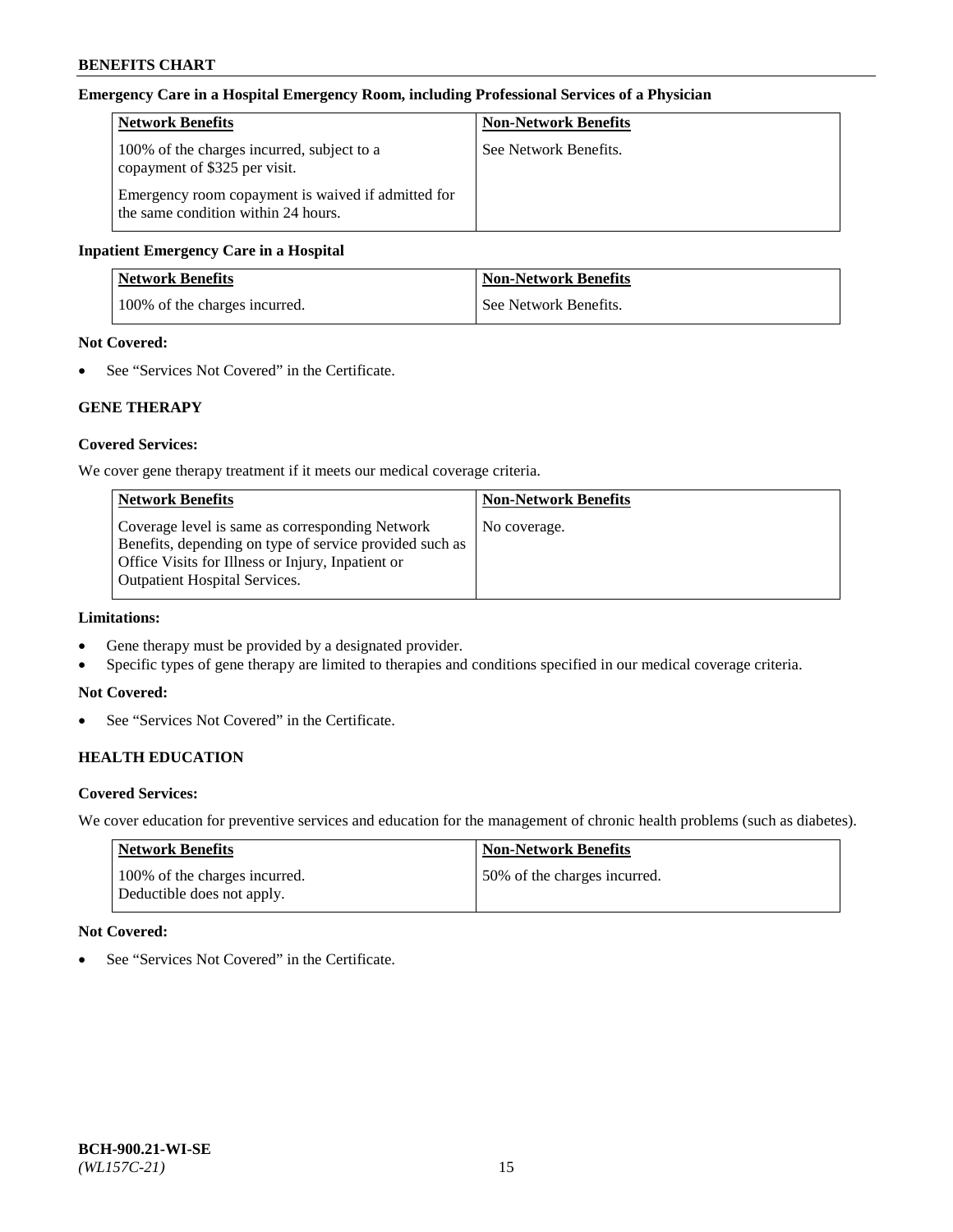#### **Emergency Care in a Hospital Emergency Room, including Professional Services of a Physician**

| <b>Network Benefits</b>                                                                   | <b>Non-Network Benefits</b> |
|-------------------------------------------------------------------------------------------|-----------------------------|
| 100% of the charges incurred, subject to a<br>copayment of \$325 per visit.               | See Network Benefits.       |
| Emergency room copayment is waived if admitted for<br>the same condition within 24 hours. |                             |

#### **Inpatient Emergency Care in a Hospital**

| <b>Network Benefits</b>       | <b>Non-Network Benefits</b> |
|-------------------------------|-----------------------------|
| 100% of the charges incurred. | See Network Benefits.       |

# **Not Covered:**

• See "Services Not Covered" in the Certificate.

# **GENE THERAPY**

# **Covered Services:**

We cover gene therapy treatment if it meets our medical coverage criteria.

| <b>Non-Network Benefits</b> |
|-----------------------------|
| No coverage.                |
|                             |
|                             |
|                             |
|                             |

# **Limitations:**

- Gene therapy must be provided by a designated provider.
- Specific types of gene therapy are limited to therapies and conditions specified in our medical coverage criteria.

#### **Not Covered:**

• See "Services Not Covered" in the Certificate.

# **HEALTH EDUCATION**

#### **Covered Services:**

We cover education for preventive services and education for the management of chronic health problems (such as diabetes).

| <b>Network Benefits</b>                                     | <b>Non-Network Benefits</b>  |
|-------------------------------------------------------------|------------------------------|
| 100% of the charges incurred.<br>Deductible does not apply. | 50% of the charges incurred. |

# **Not Covered:**

• See "Services Not Covered" in the Certificate.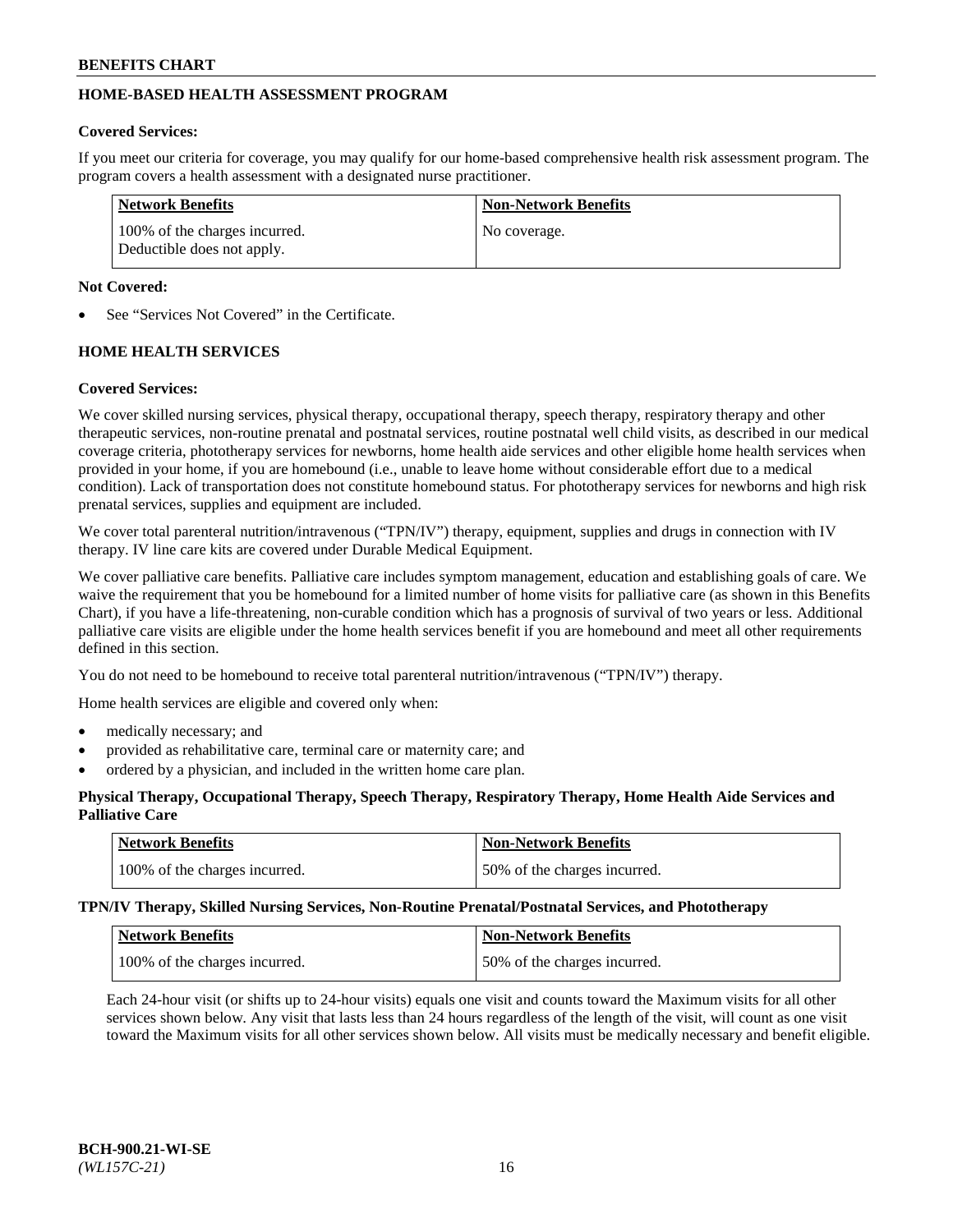# **HOME-BASED HEALTH ASSESSMENT PROGRAM**

# **Covered Services:**

If you meet our criteria for coverage, you may qualify for our home-based comprehensive health risk assessment program. The program covers a health assessment with a designated nurse practitioner.

| <b>Network Benefits</b>                                     | <b>Non-Network Benefits</b> |
|-------------------------------------------------------------|-----------------------------|
| 100% of the charges incurred.<br>Deductible does not apply. | No coverage.                |

# **Not Covered:**

See "Services Not Covered" in the Certificate.

# **HOME HEALTH SERVICES**

# **Covered Services:**

We cover skilled nursing services, physical therapy, occupational therapy, speech therapy, respiratory therapy and other therapeutic services, non-routine prenatal and postnatal services, routine postnatal well child visits, as described in our medical coverage criteria, phototherapy services for newborns, home health aide services and other eligible home health services when provided in your home, if you are homebound (i.e., unable to leave home without considerable effort due to a medical condition). Lack of transportation does not constitute homebound status. For phototherapy services for newborns and high risk prenatal services, supplies and equipment are included.

We cover total parenteral nutrition/intravenous ("TPN/IV") therapy, equipment, supplies and drugs in connection with IV therapy. IV line care kits are covered under Durable Medical Equipment.

We cover palliative care benefits. Palliative care includes symptom management, education and establishing goals of care. We waive the requirement that you be homebound for a limited number of home visits for palliative care (as shown in this Benefits Chart), if you have a life-threatening, non-curable condition which has a prognosis of survival of two years or less. Additional palliative care visits are eligible under the home health services benefit if you are homebound and meet all other requirements defined in this section.

You do not need to be homebound to receive total parenteral nutrition/intravenous ("TPN/IV") therapy.

Home health services are eligible and covered only when:

- medically necessary; and
- provided as rehabilitative care, terminal care or maternity care; and
- ordered by a physician, and included in the written home care plan.

# **Physical Therapy, Occupational Therapy, Speech Therapy, Respiratory Therapy, Home Health Aide Services and Palliative Care**

| Network Benefits              | <b>Non-Network Benefits</b>  |
|-------------------------------|------------------------------|
| 100% of the charges incurred. | 50% of the charges incurred. |

**TPN/IV Therapy, Skilled Nursing Services, Non-Routine Prenatal/Postnatal Services, and Phototherapy**

| Network Benefits              | <b>Non-Network Benefits</b>  |
|-------------------------------|------------------------------|
| 100% of the charges incurred. | 50% of the charges incurred. |

Each 24-hour visit (or shifts up to 24-hour visits) equals one visit and counts toward the Maximum visits for all other services shown below. Any visit that lasts less than 24 hours regardless of the length of the visit, will count as one visit toward the Maximum visits for all other services shown below. All visits must be medically necessary and benefit eligible.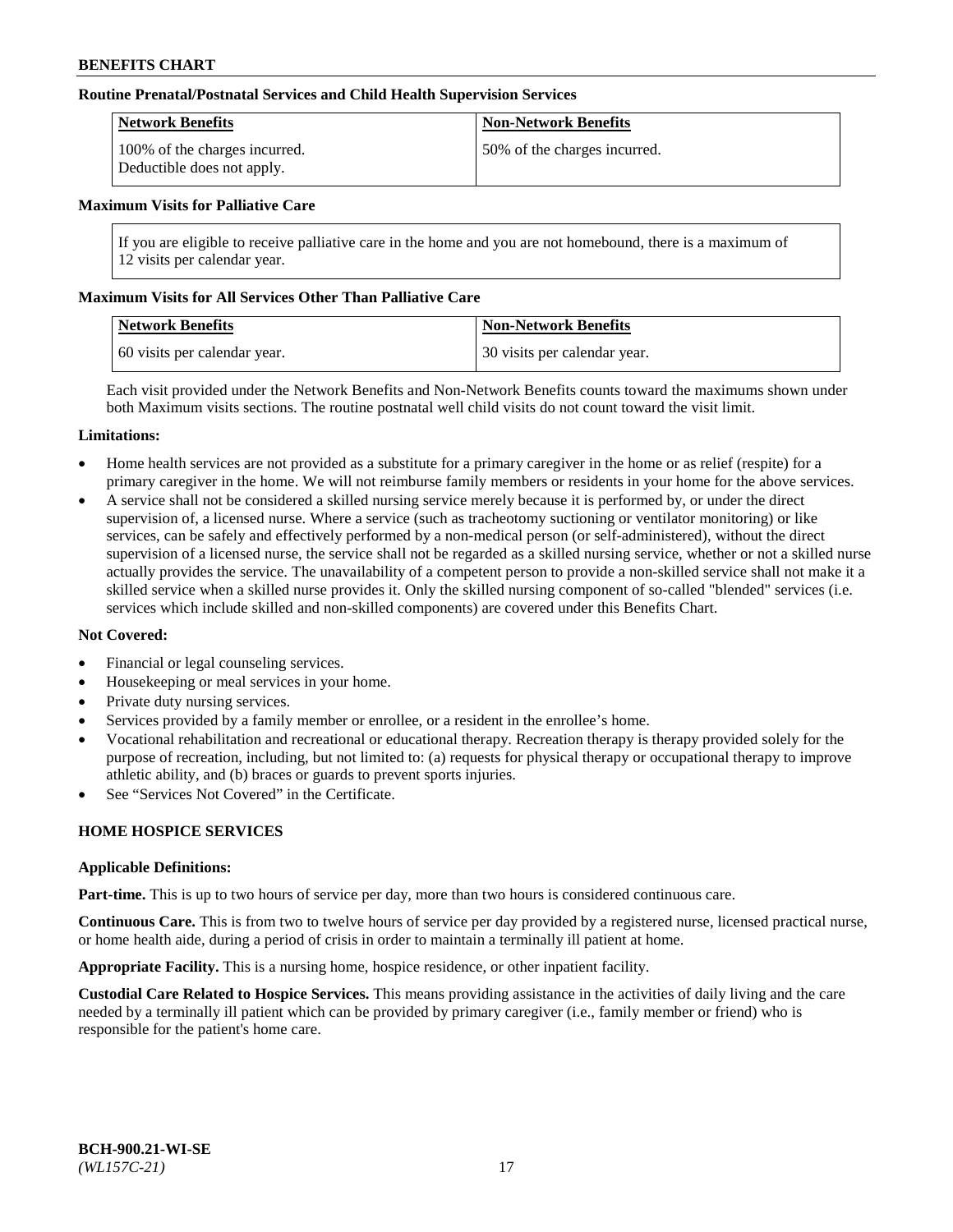#### **Routine Prenatal/Postnatal Services and Child Health Supervision Services**

| Network Benefits                                            | <b>Non-Network Benefits</b>  |
|-------------------------------------------------------------|------------------------------|
| 100% of the charges incurred.<br>Deductible does not apply. | 50% of the charges incurred. |

#### **Maximum Visits for Palliative Care**

If you are eligible to receive palliative care in the home and you are not homebound, there is a maximum of 12 visits per calendar year.

#### **Maximum Visits for All Services Other Than Palliative Care**

| <b>Network Benefits</b>      | <b>Non-Network Benefits</b>  |
|------------------------------|------------------------------|
| 60 visits per calendar year. | 30 visits per calendar year. |

Each visit provided under the Network Benefits and Non-Network Benefits counts toward the maximums shown under both Maximum visits sections. The routine postnatal well child visits do not count toward the visit limit.

#### **Limitations:**

- Home health services are not provided as a substitute for a primary caregiver in the home or as relief (respite) for a primary caregiver in the home. We will not reimburse family members or residents in your home for the above services.
- A service shall not be considered a skilled nursing service merely because it is performed by, or under the direct supervision of, a licensed nurse. Where a service (such as tracheotomy suctioning or ventilator monitoring) or like services, can be safely and effectively performed by a non-medical person (or self-administered), without the direct supervision of a licensed nurse, the service shall not be regarded as a skilled nursing service, whether or not a skilled nurse actually provides the service. The unavailability of a competent person to provide a non-skilled service shall not make it a skilled service when a skilled nurse provides it. Only the skilled nursing component of so-called "blended" services (i.e. services which include skilled and non-skilled components) are covered under this Benefits Chart.

#### **Not Covered:**

- Financial or legal counseling services.
- Housekeeping or meal services in your home.
- Private duty nursing services.
- Services provided by a family member or enrollee, or a resident in the enrollee's home.
- Vocational rehabilitation and recreational or educational therapy. Recreation therapy is therapy provided solely for the purpose of recreation, including, but not limited to: (a) requests for physical therapy or occupational therapy to improve athletic ability, and (b) braces or guards to prevent sports injuries.
- See "Services Not Covered" in the Certificate.

# **HOME HOSPICE SERVICES**

#### **Applicable Definitions:**

**Part-time.** This is up to two hours of service per day, more than two hours is considered continuous care.

**Continuous Care.** This is from two to twelve hours of service per day provided by a registered nurse, licensed practical nurse, or home health aide, during a period of crisis in order to maintain a terminally ill patient at home.

**Appropriate Facility.** This is a nursing home, hospice residence, or other inpatient facility.

**Custodial Care Related to Hospice Services.** This means providing assistance in the activities of daily living and the care needed by a terminally ill patient which can be provided by primary caregiver (i.e., family member or friend) who is responsible for the patient's home care.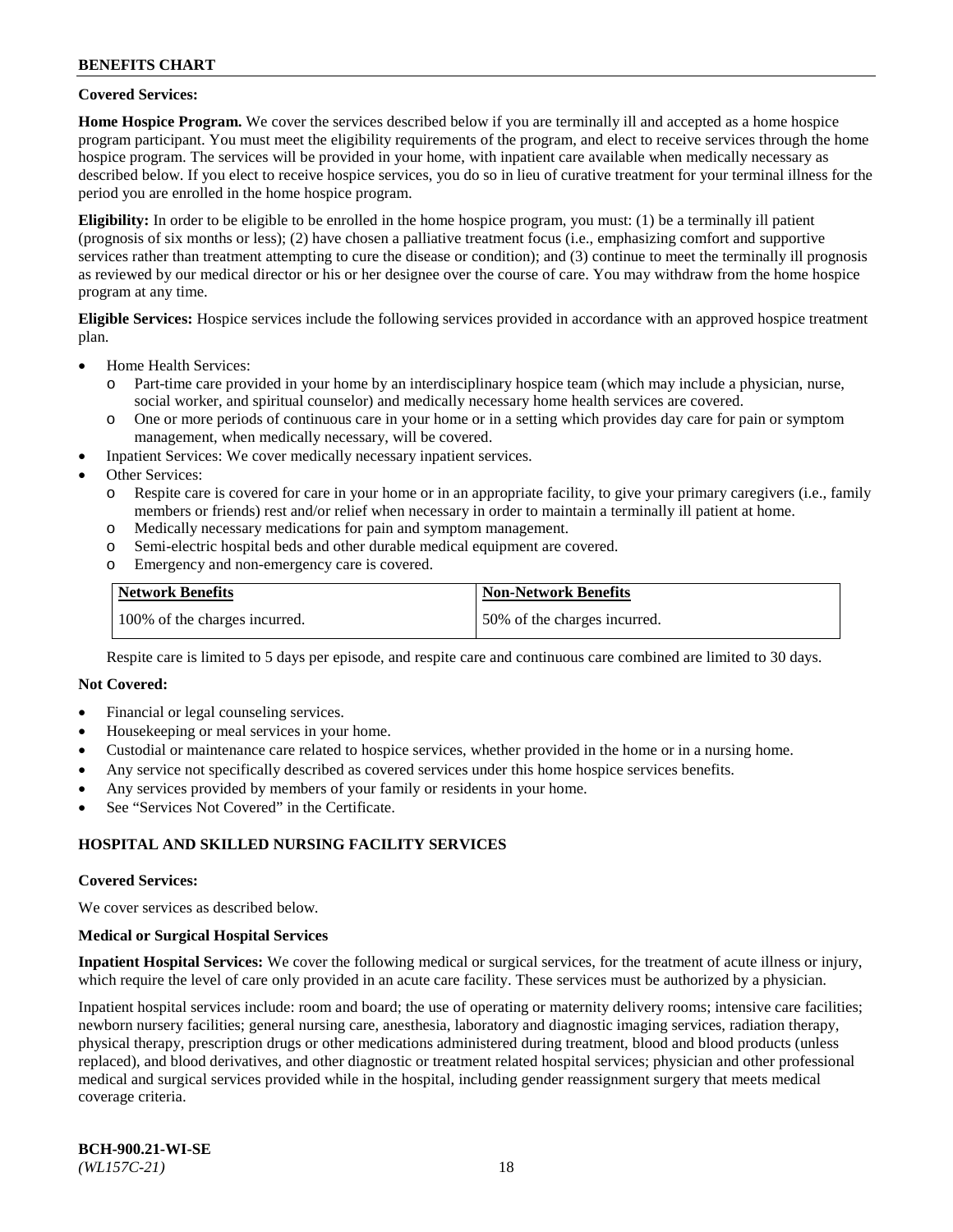## **Covered Services:**

**Home Hospice Program.** We cover the services described below if you are terminally ill and accepted as a home hospice program participant. You must meet the eligibility requirements of the program, and elect to receive services through the home hospice program. The services will be provided in your home, with inpatient care available when medically necessary as described below. If you elect to receive hospice services, you do so in lieu of curative treatment for your terminal illness for the period you are enrolled in the home hospice program.

**Eligibility:** In order to be eligible to be enrolled in the home hospice program, you must: (1) be a terminally ill patient (prognosis of six months or less); (2) have chosen a palliative treatment focus (i.e., emphasizing comfort and supportive services rather than treatment attempting to cure the disease or condition); and (3) continue to meet the terminally ill prognosis as reviewed by our medical director or his or her designee over the course of care. You may withdraw from the home hospice program at any time.

**Eligible Services:** Hospice services include the following services provided in accordance with an approved hospice treatment plan.

- Home Health Services:
	- o Part-time care provided in your home by an interdisciplinary hospice team (which may include a physician, nurse, social worker, and spiritual counselor) and medically necessary home health services are covered.
	- o One or more periods of continuous care in your home or in a setting which provides day care for pain or symptom management, when medically necessary, will be covered.
	- Inpatient Services: We cover medically necessary inpatient services.
- Other Services:
	- o Respite care is covered for care in your home or in an appropriate facility, to give your primary caregivers (i.e., family members or friends) rest and/or relief when necessary in order to maintain a terminally ill patient at home.
	- o Medically necessary medications for pain and symptom management.
	- o Semi-electric hospital beds and other durable medical equipment are covered.
	- o Emergency and non-emergency care is covered.

| Network Benefits              | <b>Non-Network Benefits</b>  |
|-------------------------------|------------------------------|
| 100% of the charges incurred. | 50% of the charges incurred. |

Respite care is limited to 5 days per episode, and respite care and continuous care combined are limited to 30 days.

# **Not Covered:**

- Financial or legal counseling services.
- Housekeeping or meal services in your home.
- Custodial or maintenance care related to hospice services, whether provided in the home or in a nursing home.
- Any service not specifically described as covered services under this home hospice services benefits.
- Any services provided by members of your family or residents in your home.
- See "Services Not Covered" in the Certificate.

# **HOSPITAL AND SKILLED NURSING FACILITY SERVICES**

#### **Covered Services:**

We cover services as described below.

#### **Medical or Surgical Hospital Services**

**Inpatient Hospital Services:** We cover the following medical or surgical services, for the treatment of acute illness or injury, which require the level of care only provided in an acute care facility. These services must be authorized by a physician.

Inpatient hospital services include: room and board; the use of operating or maternity delivery rooms; intensive care facilities; newborn nursery facilities; general nursing care, anesthesia, laboratory and diagnostic imaging services, radiation therapy, physical therapy, prescription drugs or other medications administered during treatment, blood and blood products (unless replaced), and blood derivatives, and other diagnostic or treatment related hospital services; physician and other professional medical and surgical services provided while in the hospital, including gender reassignment surgery that meets medical coverage criteria.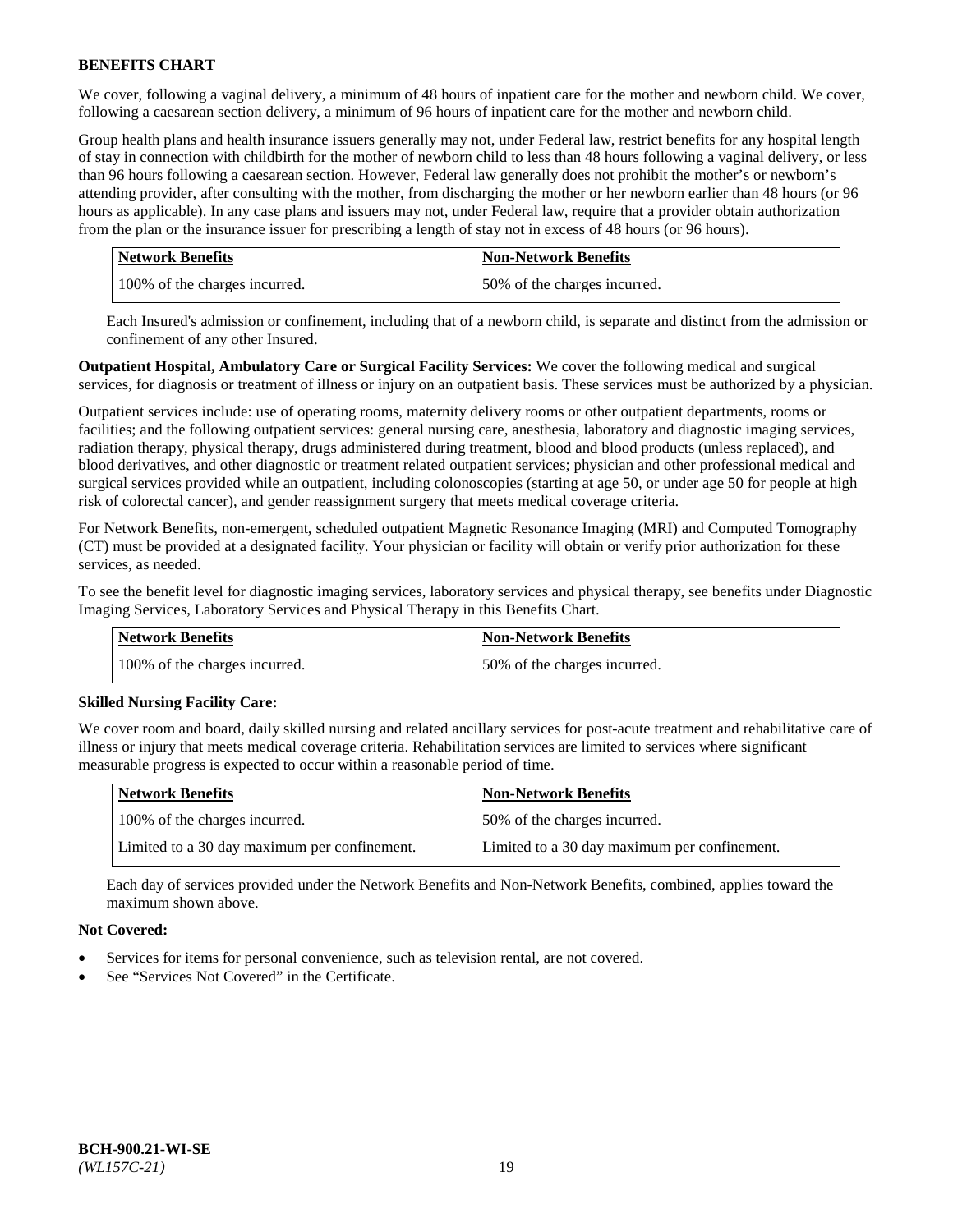We cover, following a vaginal delivery, a minimum of 48 hours of inpatient care for the mother and newborn child. We cover, following a caesarean section delivery, a minimum of 96 hours of inpatient care for the mother and newborn child.

Group health plans and health insurance issuers generally may not, under Federal law, restrict benefits for any hospital length of stay in connection with childbirth for the mother of newborn child to less than 48 hours following a vaginal delivery, or less than 96 hours following a caesarean section. However, Federal law generally does not prohibit the mother's or newborn's attending provider, after consulting with the mother, from discharging the mother or her newborn earlier than 48 hours (or 96 hours as applicable). In any case plans and issuers may not, under Federal law, require that a provider obtain authorization from the plan or the insurance issuer for prescribing a length of stay not in excess of 48 hours (or 96 hours).

| Network Benefits              | <b>Non-Network Benefits</b>  |
|-------------------------------|------------------------------|
| 100% of the charges incurred. | 50% of the charges incurred. |

Each Insured's admission or confinement, including that of a newborn child, is separate and distinct from the admission or confinement of any other Insured.

**Outpatient Hospital, Ambulatory Care or Surgical Facility Services:** We cover the following medical and surgical services, for diagnosis or treatment of illness or injury on an outpatient basis. These services must be authorized by a physician.

Outpatient services include: use of operating rooms, maternity delivery rooms or other outpatient departments, rooms or facilities; and the following outpatient services: general nursing care, anesthesia, laboratory and diagnostic imaging services, radiation therapy, physical therapy, drugs administered during treatment, blood and blood products (unless replaced), and blood derivatives, and other diagnostic or treatment related outpatient services; physician and other professional medical and surgical services provided while an outpatient, including colonoscopies (starting at age 50, or under age 50 for people at high risk of colorectal cancer), and gender reassignment surgery that meets medical coverage criteria.

For Network Benefits, non-emergent, scheduled outpatient Magnetic Resonance Imaging (MRI) and Computed Tomography (CT) must be provided at a designated facility. Your physician or facility will obtain or verify prior authorization for these services, as needed.

To see the benefit level for diagnostic imaging services, laboratory services and physical therapy, see benefits under Diagnostic Imaging Services, Laboratory Services and Physical Therapy in this Benefits Chart.

| <b>Network Benefits</b>       | <b>Non-Network Benefits</b>  |
|-------------------------------|------------------------------|
| 100% of the charges incurred. | 50% of the charges incurred. |

# **Skilled Nursing Facility Care:**

We cover room and board, daily skilled nursing and related ancillary services for post-acute treatment and rehabilitative care of illness or injury that meets medical coverage criteria. Rehabilitation services are limited to services where significant measurable progress is expected to occur within a reasonable period of time.

| <b>Network Benefits</b>                      | <b>Non-Network Benefits</b>                  |
|----------------------------------------------|----------------------------------------------|
| 100% of the charges incurred.                | 50% of the charges incurred.                 |
| Limited to a 30 day maximum per confinement. | Limited to a 30 day maximum per confinement. |

Each day of services provided under the Network Benefits and Non-Network Benefits, combined, applies toward the maximum shown above.

# **Not Covered:**

- Services for items for personal convenience, such as television rental, are not covered.
- See "Services Not Covered" in the Certificate.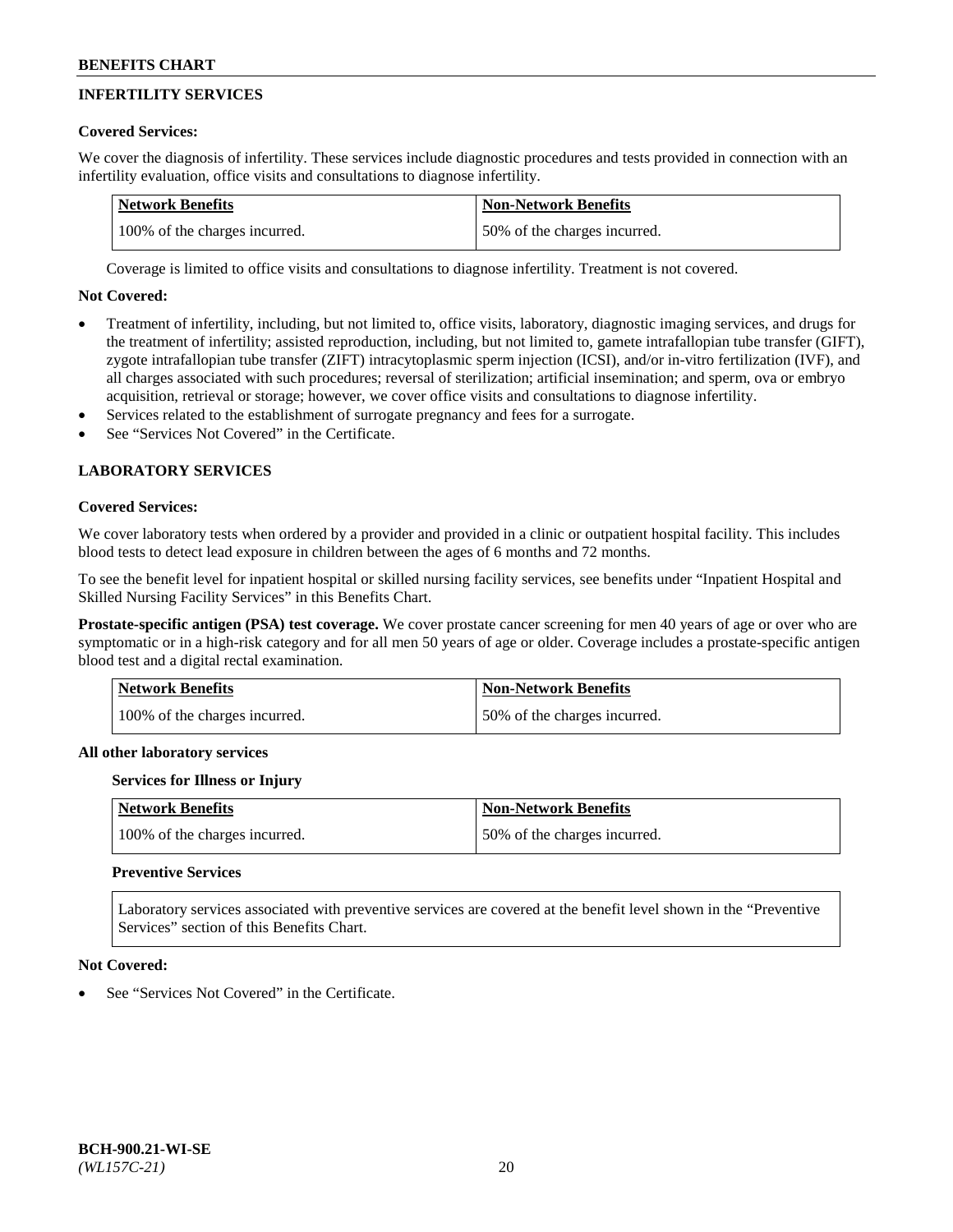# **INFERTILITY SERVICES**

# **Covered Services:**

We cover the diagnosis of infertility. These services include diagnostic procedures and tests provided in connection with an infertility evaluation, office visits and consultations to diagnose infertility.

| Network Benefits              | Non-Network Benefits         |
|-------------------------------|------------------------------|
| 100% of the charges incurred. | 50% of the charges incurred. |

Coverage is limited to office visits and consultations to diagnose infertility. Treatment is not covered.

# **Not Covered:**

- Treatment of infertility, including, but not limited to, office visits, laboratory, diagnostic imaging services, and drugs for the treatment of infertility; assisted reproduction, including, but not limited to, gamete intrafallopian tube transfer (GIFT), zygote intrafallopian tube transfer (ZIFT) intracytoplasmic sperm injection (ICSI), and/or in-vitro fertilization (IVF), and all charges associated with such procedures; reversal of sterilization; artificial insemination; and sperm, ova or embryo acquisition, retrieval or storage; however, we cover office visits and consultations to diagnose infertility.
- Services related to the establishment of surrogate pregnancy and fees for a surrogate.
- See "Services Not Covered" in the Certificate.

# **LABORATORY SERVICES**

#### **Covered Services:**

We cover laboratory tests when ordered by a provider and provided in a clinic or outpatient hospital facility. This includes blood tests to detect lead exposure in children between the ages of 6 months and 72 months.

To see the benefit level for inpatient hospital or skilled nursing facility services, see benefits under "Inpatient Hospital and Skilled Nursing Facility Services" in this Benefits Chart.

**Prostate-specific antigen (PSA) test coverage.** We cover prostate cancer screening for men 40 years of age or over who are symptomatic or in a high-risk category and for all men 50 years of age or older. Coverage includes a prostate-specific antigen blood test and a digital rectal examination.

| Network Benefits              | <b>Non-Network Benefits</b>  |
|-------------------------------|------------------------------|
| 100% of the charges incurred. | 50% of the charges incurred. |

# **All other laboratory services**

#### **Services for Illness or Injury**

| <b>Network Benefits</b>       | <b>Non-Network Benefits</b>  |
|-------------------------------|------------------------------|
| 100% of the charges incurred. | 50% of the charges incurred. |

# **Preventive Services**

Laboratory services associated with preventive services are covered at the benefit level shown in the "Preventive Services" section of this Benefits Chart.

#### **Not Covered:**

See "Services Not Covered" in the Certificate.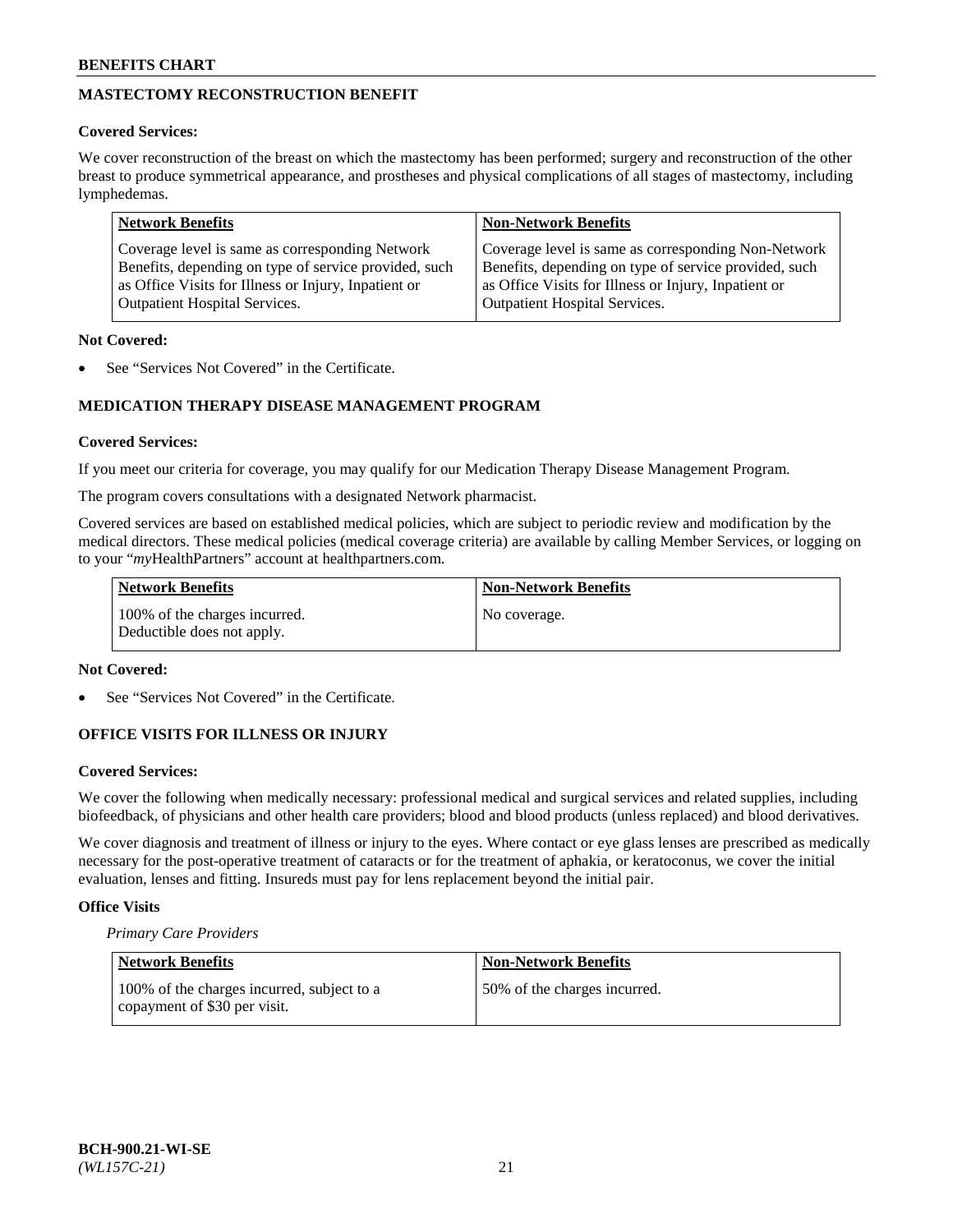# **MASTECTOMY RECONSTRUCTION BENEFIT**

## **Covered Services:**

We cover reconstruction of the breast on which the mastectomy has been performed; surgery and reconstruction of the other breast to produce symmetrical appearance, and prostheses and physical complications of all stages of mastectomy, including lymphedemas.

| <b>Network Benefits</b>                               | <b>Non-Network Benefits</b>                           |
|-------------------------------------------------------|-------------------------------------------------------|
| Coverage level is same as corresponding Network       | Coverage level is same as corresponding Non-Network   |
| Benefits, depending on type of service provided, such | Benefits, depending on type of service provided, such |
| as Office Visits for Illness or Injury, Inpatient or  | as Office Visits for Illness or Injury, Inpatient or  |
| <b>Outpatient Hospital Services.</b>                  | Outpatient Hospital Services.                         |

### **Not Covered:**

See "Services Not Covered" in the Certificate.

# **MEDICATION THERAPY DISEASE MANAGEMENT PROGRAM**

# **Covered Services:**

If you meet our criteria for coverage, you may qualify for our Medication Therapy Disease Management Program.

The program covers consultations with a designated Network pharmacist.

Covered services are based on established medical policies, which are subject to periodic review and modification by the medical directors. These medical policies (medical coverage criteria) are available by calling Member Services, or logging on to your "*my*HealthPartners" account at [healthpartners.com.](http://www.healthpartners.com/)

| Network Benefits                                            | <b>Non-Network Benefits</b> |
|-------------------------------------------------------------|-----------------------------|
| 100% of the charges incurred.<br>Deductible does not apply. | No coverage.                |

#### **Not Covered:**

See "Services Not Covered" in the Certificate.

# **OFFICE VISITS FOR ILLNESS OR INJURY**

#### **Covered Services:**

We cover the following when medically necessary: professional medical and surgical services and related supplies, including biofeedback, of physicians and other health care providers; blood and blood products (unless replaced) and blood derivatives.

We cover diagnosis and treatment of illness or injury to the eyes. Where contact or eye glass lenses are prescribed as medically necessary for the post-operative treatment of cataracts or for the treatment of aphakia, or keratoconus, we cover the initial evaluation, lenses and fitting. Insureds must pay for lens replacement beyond the initial pair.

# **Office Visits**

*Primary Care Providers*

| Network Benefits                                                           | <b>Non-Network Benefits</b>  |
|----------------------------------------------------------------------------|------------------------------|
| 100% of the charges incurred, subject to a<br>copayment of \$30 per visit. | 50% of the charges incurred. |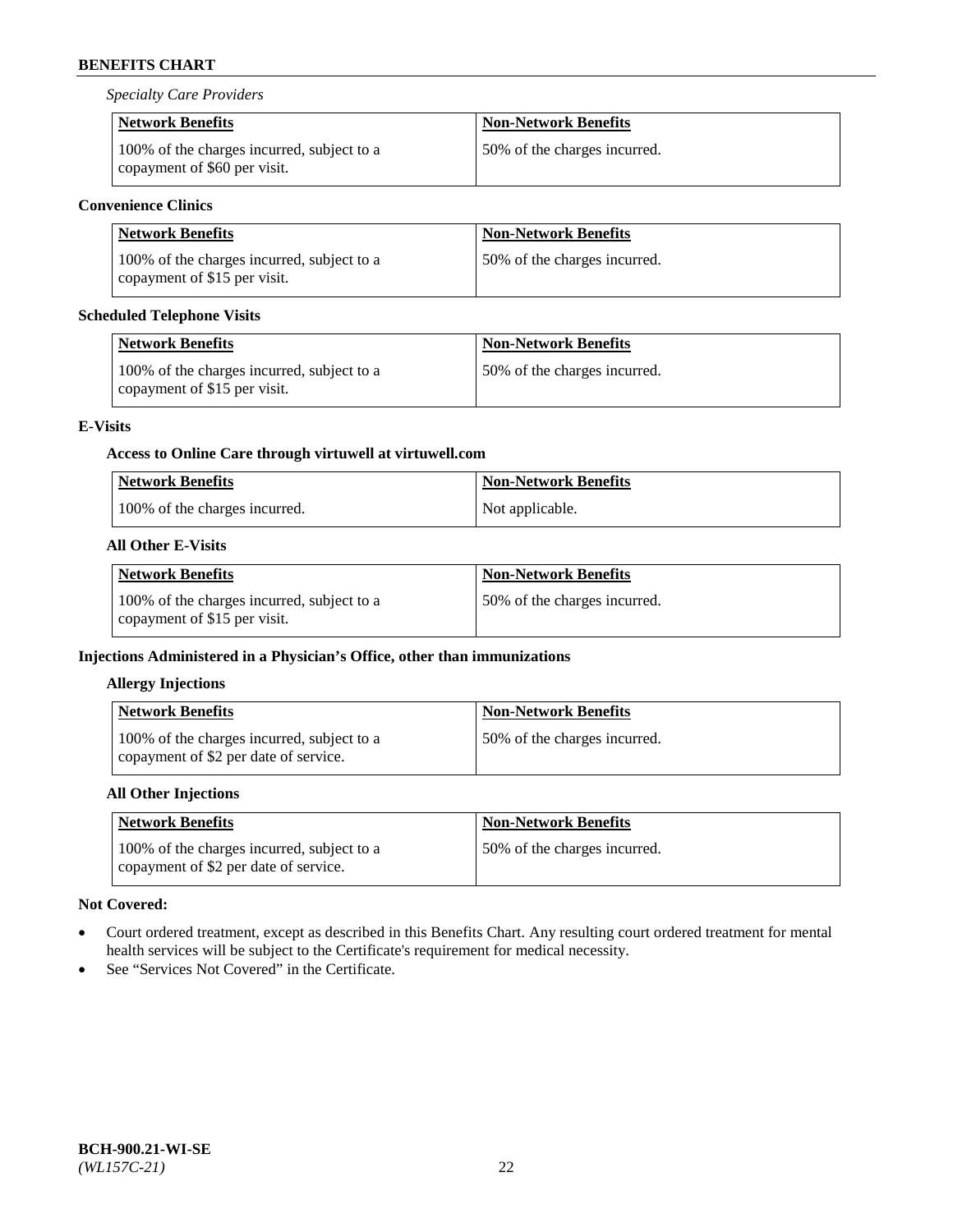*Specialty Care Providers*

| <b>Network Benefits</b>                                                    | <b>Non-Network Benefits</b>  |
|----------------------------------------------------------------------------|------------------------------|
| 100% of the charges incurred, subject to a<br>copayment of \$60 per visit. | 50% of the charges incurred. |

# **Convenience Clinics**

| Network Benefits                                                           | <b>Non-Network Benefits</b>   |
|----------------------------------------------------------------------------|-------------------------------|
| 100% of the charges incurred, subject to a<br>copayment of \$15 per visit. | 150% of the charges incurred. |

# **Scheduled Telephone Visits**

| <b>Network Benefits</b>                                                    | <b>Non-Network Benefits</b>  |
|----------------------------------------------------------------------------|------------------------------|
| 100% of the charges incurred, subject to a<br>copayment of \$15 per visit. | 50% of the charges incurred. |

# **E-Visits**

# **Access to Online Care through virtuwell a[t virtuwell.com](https://www.virtuwell.com/)**

| <b>Network Benefits</b>       | <b>Non-Network Benefits</b> |
|-------------------------------|-----------------------------|
| 100% of the charges incurred. | Not applicable.             |

# **All Other E-Visits**

| Network Benefits                                                           | <b>Non-Network Benefits</b>  |
|----------------------------------------------------------------------------|------------------------------|
| 100% of the charges incurred, subject to a<br>copayment of \$15 per visit. | 50% of the charges incurred. |

# **Injections Administered in a Physician's Office, other than immunizations**

# **Allergy Injections**

| <b>Network Benefits</b>                                                             | <b>Non-Network Benefits</b>  |
|-------------------------------------------------------------------------------------|------------------------------|
| 100% of the charges incurred, subject to a<br>copayment of \$2 per date of service. | 50% of the charges incurred. |

# **All Other Injections**

| <b>Network Benefits</b>                                                             | <b>Non-Network Benefits</b>  |
|-------------------------------------------------------------------------------------|------------------------------|
| 100% of the charges incurred, subject to a<br>copayment of \$2 per date of service. | 50% of the charges incurred. |

# **Not Covered:**

- Court ordered treatment, except as described in this Benefits Chart. Any resulting court ordered treatment for mental health services will be subject to the Certificate's requirement for medical necessity.
- See "Services Not Covered" in the Certificate.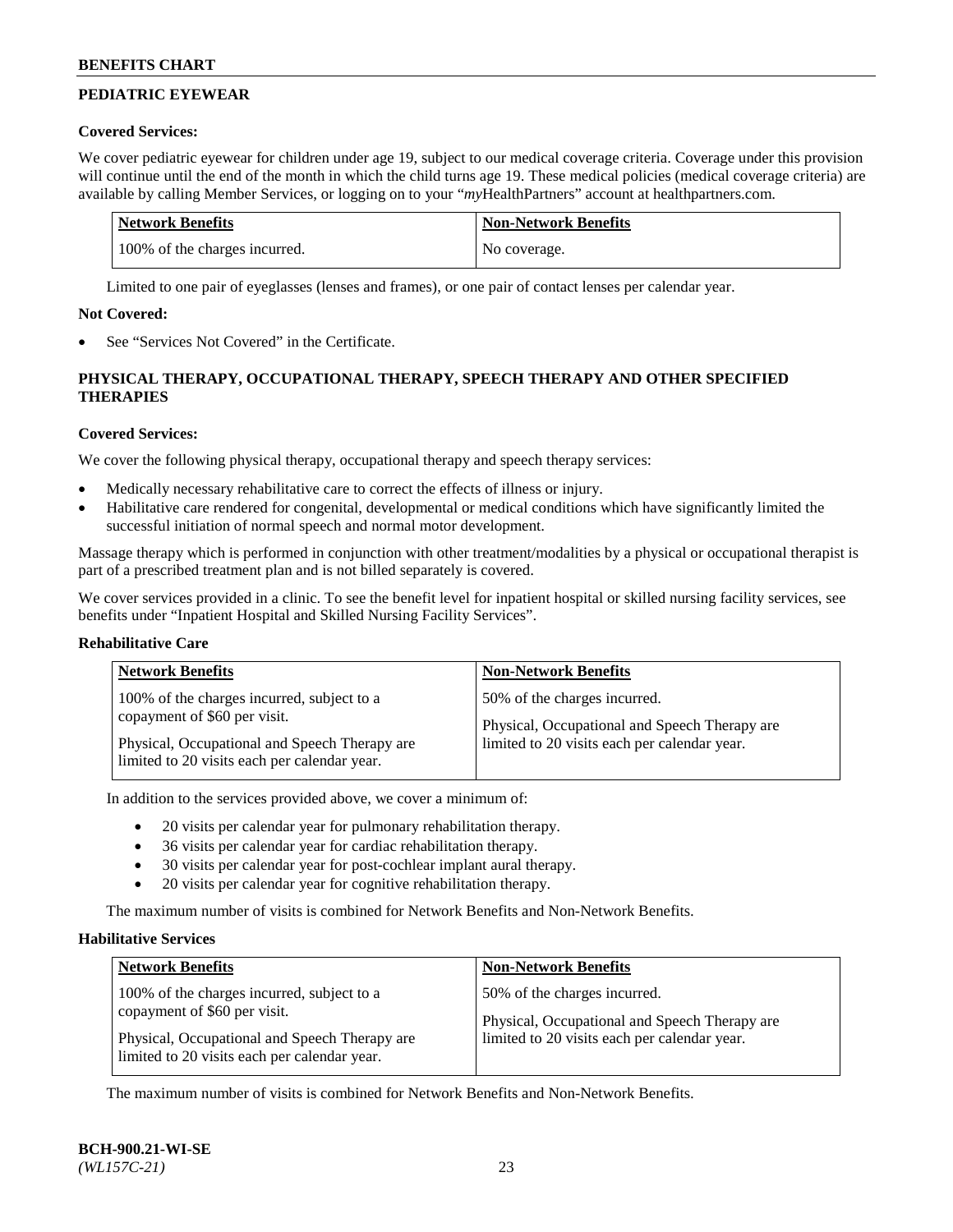# **PEDIATRIC EYEWEAR**

#### **Covered Services:**

We cover pediatric eyewear for children under age 19, subject to our medical coverage criteria. Coverage under this provision will continue until the end of the month in which the child turns age 19. These medical policies (medical coverage criteria) are available by calling Member Services, or logging on to your "*my*HealthPartners" account a[t healthpartners.com.](https://www.healthpartners.com/hp/index.html)

| Network Benefits              | <b>Non-Network Benefits</b> |
|-------------------------------|-----------------------------|
| 100% of the charges incurred. | No coverage.                |

Limited to one pair of eyeglasses (lenses and frames), or one pair of contact lenses per calendar year.

#### **Not Covered:**

See "Services Not Covered" in the Certificate.

# **PHYSICAL THERAPY, OCCUPATIONAL THERAPY, SPEECH THERAPY AND OTHER SPECIFIED THERAPIES**

# **Covered Services:**

We cover the following physical therapy, occupational therapy and speech therapy services:

- Medically necessary rehabilitative care to correct the effects of illness or injury.
- Habilitative care rendered for congenital, developmental or medical conditions which have significantly limited the successful initiation of normal speech and normal motor development.

Massage therapy which is performed in conjunction with other treatment/modalities by a physical or occupational therapist is part of a prescribed treatment plan and is not billed separately is covered.

We cover services provided in a clinic. To see the benefit level for inpatient hospital or skilled nursing facility services, see benefits under "Inpatient Hospital and Skilled Nursing Facility Services".

#### **Rehabilitative Care**

| <b>Network Benefits</b>                        | <b>Non-Network Benefits</b>                   |
|------------------------------------------------|-----------------------------------------------|
| 100% of the charges incurred, subject to a     | 50% of the charges incurred.                  |
| copayment of \$60 per visit.                   | Physical, Occupational and Speech Therapy are |
| Physical, Occupational and Speech Therapy are. | limited to 20 visits each per calendar year.  |
| limited to 20 visits each per calendar year.   |                                               |

In addition to the services provided above, we cover a minimum of:

- 20 visits per calendar year for pulmonary rehabilitation therapy.
- 36 visits per calendar year for cardiac rehabilitation therapy.
- 30 visits per calendar year for post-cochlear implant aural therapy.
- 20 visits per calendar year for cognitive rehabilitation therapy.

The maximum number of visits is combined for Network Benefits and Non-Network Benefits.

#### **Habilitative Services**

| <b>Network Benefits</b>                                                                                                     | <b>Non-Network Benefits</b>                                                                                                   |
|-----------------------------------------------------------------------------------------------------------------------------|-------------------------------------------------------------------------------------------------------------------------------|
| 100% of the charges incurred, subject to a<br>copayment of \$60 per visit.<br>Physical, Occupational and Speech Therapy are | 50% of the charges incurred.<br>Physical, Occupational and Speech Therapy are<br>limited to 20 visits each per calendar year. |
| limited to 20 visits each per calendar year.                                                                                |                                                                                                                               |

The maximum number of visits is combined for Network Benefits and Non-Network Benefits.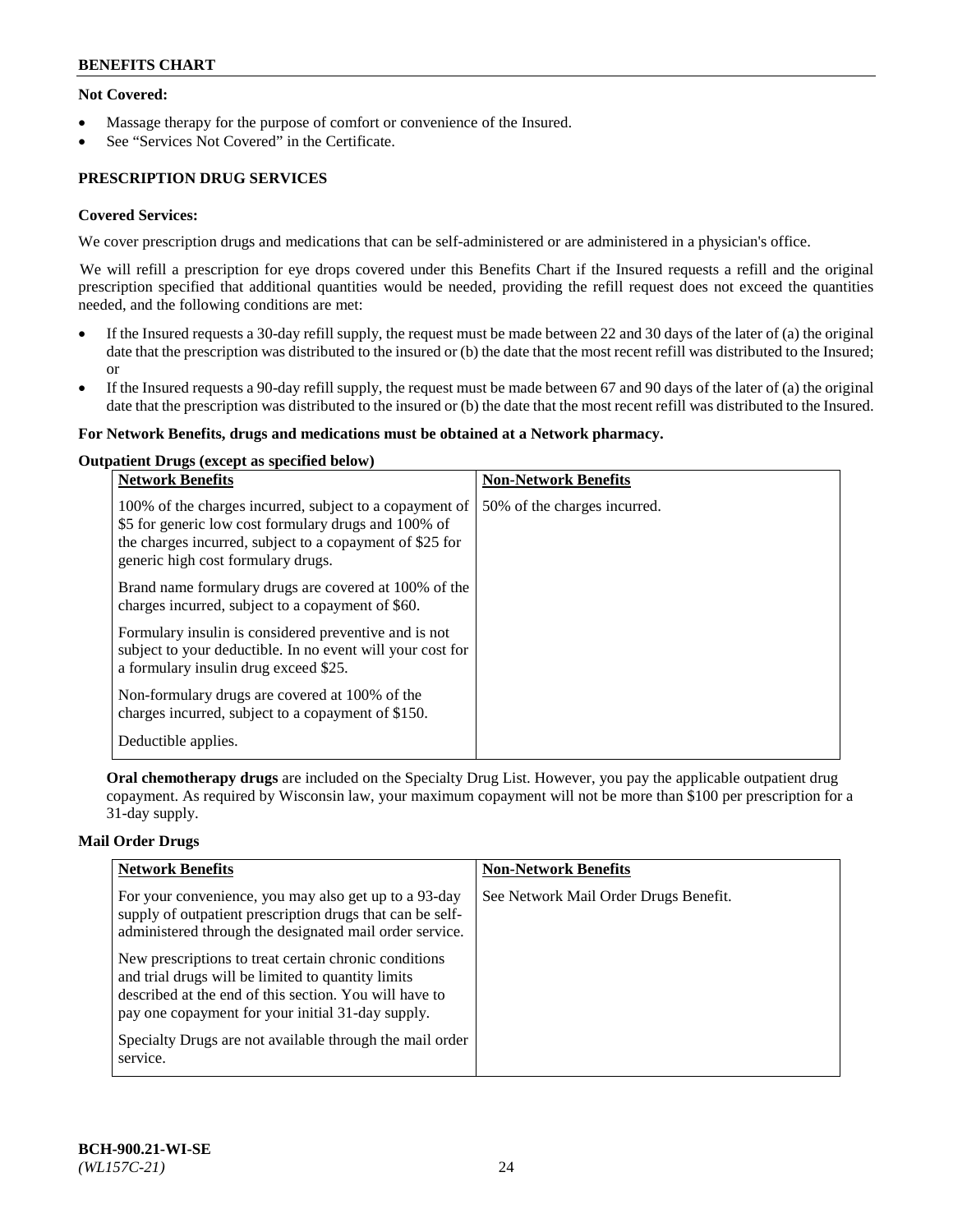# **Not Covered:**

- Massage therapy for the purpose of comfort or convenience of the Insured.
- See "Services Not Covered" in the Certificate.

# **PRESCRIPTION DRUG SERVICES**

# **Covered Services:**

We cover prescription drugs and medications that can be self-administered or are administered in a physician's office.

We will refill a prescription for eye drops covered under this Benefits Chart if the Insured requests a refill and the original prescription specified that additional quantities would be needed, providing the refill request does not exceed the quantities needed, and the following conditions are met:

- If the Insured requests a 30-day refill supply, the request must be made between 22 and 30 days of the later of (a) the original date that the prescription was distributed to the insured or (b) the date that the most recent refill was distributed to the Insured; or
- If the Insured requests a 90-day refill supply, the request must be made between 67 and 90 days of the later of (a) the original date that the prescription was distributed to the insured or (b) the date that the most recent refill was distributed to the Insured.

#### **For Network Benefits, drugs and medications must be obtained at a Network pharmacy.**

#### **Outpatient Drugs (except as specified below)**

| <b>Network Benefits</b>                                                                                                                                                                                           | <b>Non-Network Benefits</b>  |
|-------------------------------------------------------------------------------------------------------------------------------------------------------------------------------------------------------------------|------------------------------|
| 100% of the charges incurred, subject to a copayment of<br>\$5 for generic low cost formulary drugs and 100% of<br>the charges incurred, subject to a copayment of \$25 for<br>generic high cost formulary drugs. | 50% of the charges incurred. |
| Brand name formulary drugs are covered at 100% of the<br>charges incurred, subject to a copayment of \$60.                                                                                                        |                              |
| Formulary insulin is considered preventive and is not<br>subject to your deductible. In no event will your cost for<br>a formulary insulin drug exceed \$25.                                                      |                              |
| Non-formulary drugs are covered at 100% of the<br>charges incurred, subject to a copayment of \$150.                                                                                                              |                              |
| Deductible applies.                                                                                                                                                                                               |                              |

**Oral chemotherapy drugs** are included on the Specialty Drug List. However, you pay the applicable outpatient drug copayment. As required by Wisconsin law, your maximum copayment will not be more than \$100 per prescription for a 31-day supply.

# **Mail Order Drugs**

| <b>Network Benefits</b>                                                                                                                                                                                                    | <b>Non-Network Benefits</b>           |
|----------------------------------------------------------------------------------------------------------------------------------------------------------------------------------------------------------------------------|---------------------------------------|
| For your convenience, you may also get up to a 93-day<br>supply of outpatient prescription drugs that can be self-<br>administered through the designated mail order service.                                              | See Network Mail Order Drugs Benefit. |
| New prescriptions to treat certain chronic conditions<br>and trial drugs will be limited to quantity limits<br>described at the end of this section. You will have to<br>pay one copayment for your initial 31-day supply. |                                       |
| Specialty Drugs are not available through the mail order<br>service.                                                                                                                                                       |                                       |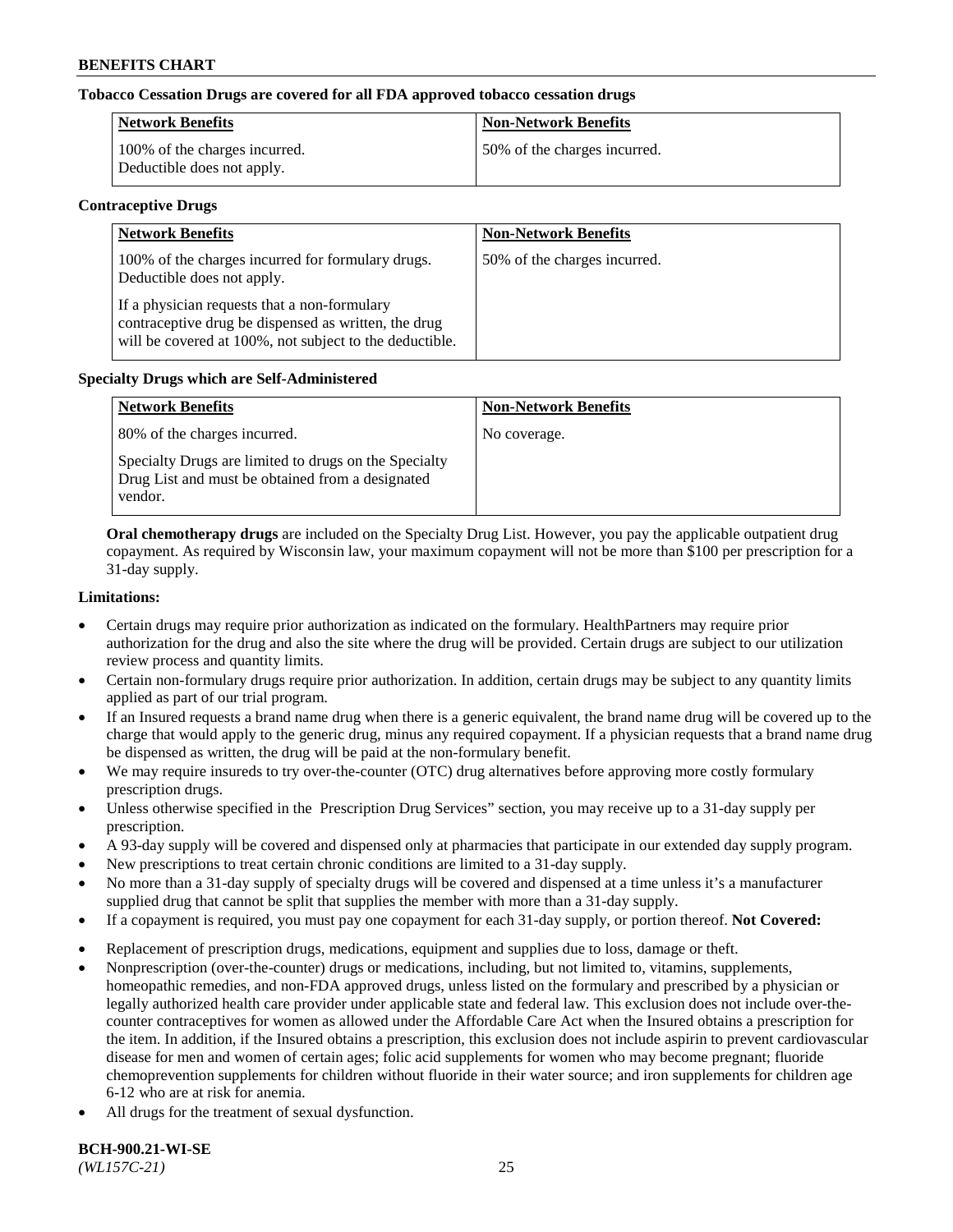# **Tobacco Cessation Drugs are covered for all FDA approved tobacco cessation drugs**

| <b>Network Benefits</b>                                     | <b>Non-Network Benefits</b>  |
|-------------------------------------------------------------|------------------------------|
| 100% of the charges incurred.<br>Deductible does not apply. | 50% of the charges incurred. |

#### **Contraceptive Drugs**

| <b>Network Benefits</b>                                                                                                                                         | <b>Non-Network Benefits</b>  |
|-----------------------------------------------------------------------------------------------------------------------------------------------------------------|------------------------------|
| 100% of the charges incurred for formulary drugs.<br>Deductible does not apply.                                                                                 | 50% of the charges incurred. |
| If a physician requests that a non-formulary<br>contraceptive drug be dispensed as written, the drug<br>will be covered at 100%, not subject to the deductible. |                              |

# **Specialty Drugs which are Self-Administered**

| <b>Network Benefits</b>                                                                                              | <b>Non-Network Benefits</b> |
|----------------------------------------------------------------------------------------------------------------------|-----------------------------|
| 80% of the charges incurred.                                                                                         | No coverage.                |
| Specialty Drugs are limited to drugs on the Specialty<br>Drug List and must be obtained from a designated<br>vendor. |                             |

**Oral chemotherapy drugs** are included on the Specialty Drug List. However, you pay the applicable outpatient drug copayment. As required by Wisconsin law, your maximum copayment will not be more than \$100 per prescription for a 31-day supply.

#### **Limitations:**

- Certain drugs may require prior authorization as indicated on the formulary. HealthPartners may require prior authorization for the drug and also the site where the drug will be provided. Certain drugs are subject to our utilization review process and quantity limits.
- Certain non-formulary drugs require prior authorization. In addition, certain drugs may be subject to any quantity limits applied as part of our trial program.
- If an Insured requests a brand name drug when there is a generic equivalent, the brand name drug will be covered up to the charge that would apply to the generic drug, minus any required copayment. If a physician requests that a brand name drug be dispensed as written, the drug will be paid at the non-formulary benefit.
- We may require insureds to try over-the-counter (OTC) drug alternatives before approving more costly formulary prescription drugs.
- Unless otherwise specified in the Prescription Drug Services" section, you may receive up to a 31-day supply per prescription.
- A 93-day supply will be covered and dispensed only at pharmacies that participate in our extended day supply program.
- New prescriptions to treat certain chronic conditions are limited to a 31-day supply.
- No more than a 31-day supply of specialty drugs will be covered and dispensed at a time unless it's a manufacturer supplied drug that cannot be split that supplies the member with more than a 31-day supply.
- If a copayment is required, you must pay one copayment for each 31-day supply, or portion thereof. **Not Covered:**
- Replacement of prescription drugs, medications, equipment and supplies due to loss, damage or theft.
- Nonprescription (over-the-counter) drugs or medications, including, but not limited to, vitamins, supplements, homeopathic remedies, and non-FDA approved drugs, unless listed on the formulary and prescribed by a physician or legally authorized health care provider under applicable state and federal law. This exclusion does not include over-thecounter contraceptives for women as allowed under the Affordable Care Act when the Insured obtains a prescription for the item. In addition, if the Insured obtains a prescription, this exclusion does not include aspirin to prevent cardiovascular disease for men and women of certain ages; folic acid supplements for women who may become pregnant; fluoride chemoprevention supplements for children without fluoride in their water source; and iron supplements for children age 6-12 who are at risk for anemia.
- All drugs for the treatment of sexual dysfunction.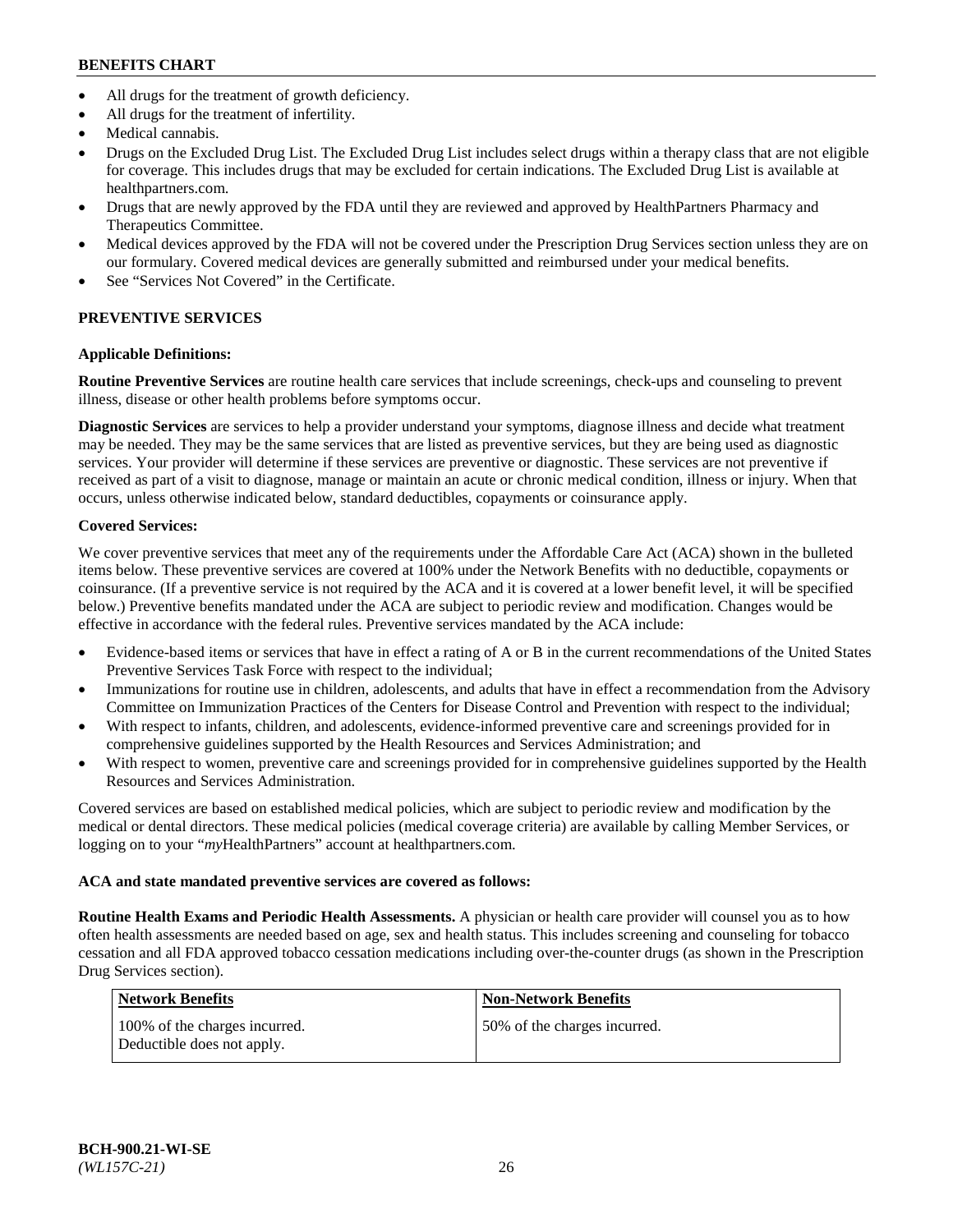- All drugs for the treatment of growth deficiency.
- All drugs for the treatment of infertility.
- Medical cannabis.
- Drugs on the Excluded Drug List. The Excluded Drug List includes select drugs within a therapy class that are not eligible for coverage. This includes drugs that may be excluded for certain indications. The Excluded Drug List is available at [healthpartners.com.](http://www.healthpartners.com/)
- Drugs that are newly approved by the FDA until they are reviewed and approved by HealthPartners Pharmacy and Therapeutics Committee.
- Medical devices approved by the FDA will not be covered under the Prescription Drug Services section unless they are on our formulary. Covered medical devices are generally submitted and reimbursed under your medical benefits.
- See "Services Not Covered" in the Certificate.

# **PREVENTIVE SERVICES**

# **Applicable Definitions:**

**Routine Preventive Services** are routine health care services that include screenings, check-ups and counseling to prevent illness, disease or other health problems before symptoms occur.

**Diagnostic Services** are services to help a provider understand your symptoms, diagnose illness and decide what treatment may be needed. They may be the same services that are listed as preventive services, but they are being used as diagnostic services. Your provider will determine if these services are preventive or diagnostic. These services are not preventive if received as part of a visit to diagnose, manage or maintain an acute or chronic medical condition, illness or injury. When that occurs, unless otherwise indicated below, standard deductibles, copayments or coinsurance apply.

# **Covered Services:**

We cover preventive services that meet any of the requirements under the Affordable Care Act (ACA) shown in the bulleted items below. These preventive services are covered at 100% under the Network Benefits with no deductible, copayments or coinsurance. (If a preventive service is not required by the ACA and it is covered at a lower benefit level, it will be specified below.) Preventive benefits mandated under the ACA are subject to periodic review and modification. Changes would be effective in accordance with the federal rules. Preventive services mandated by the ACA include:

- Evidence-based items or services that have in effect a rating of A or B in the current recommendations of the United States Preventive Services Task Force with respect to the individual;
- Immunizations for routine use in children, adolescents, and adults that have in effect a recommendation from the Advisory Committee on Immunization Practices of the Centers for Disease Control and Prevention with respect to the individual;
- With respect to infants, children, and adolescents, evidence-informed preventive care and screenings provided for in comprehensive guidelines supported by the Health Resources and Services Administration; and
- With respect to women, preventive care and screenings provided for in comprehensive guidelines supported by the Health Resources and Services Administration.

Covered services are based on established medical policies, which are subject to periodic review and modification by the medical or dental directors. These medical policies (medical coverage criteria) are available by calling Member Services, or logging on to your "*my*HealthPartners" account at [healthpartners.com.](https://www.healthpartners.com/hp/index.html)

# **ACA and state mandated preventive services are covered as follows:**

**Routine Health Exams and Periodic Health Assessments.** A physician or health care provider will counsel you as to how often health assessments are needed based on age, sex and health status. This includes screening and counseling for tobacco cessation and all FDA approved tobacco cessation medications including over-the-counter drugs (as shown in the Prescription Drug Services section).

| <b>Network Benefits</b>                                     | <b>Non-Network Benefits</b>  |
|-------------------------------------------------------------|------------------------------|
| 100% of the charges incurred.<br>Deductible does not apply. | 50% of the charges incurred. |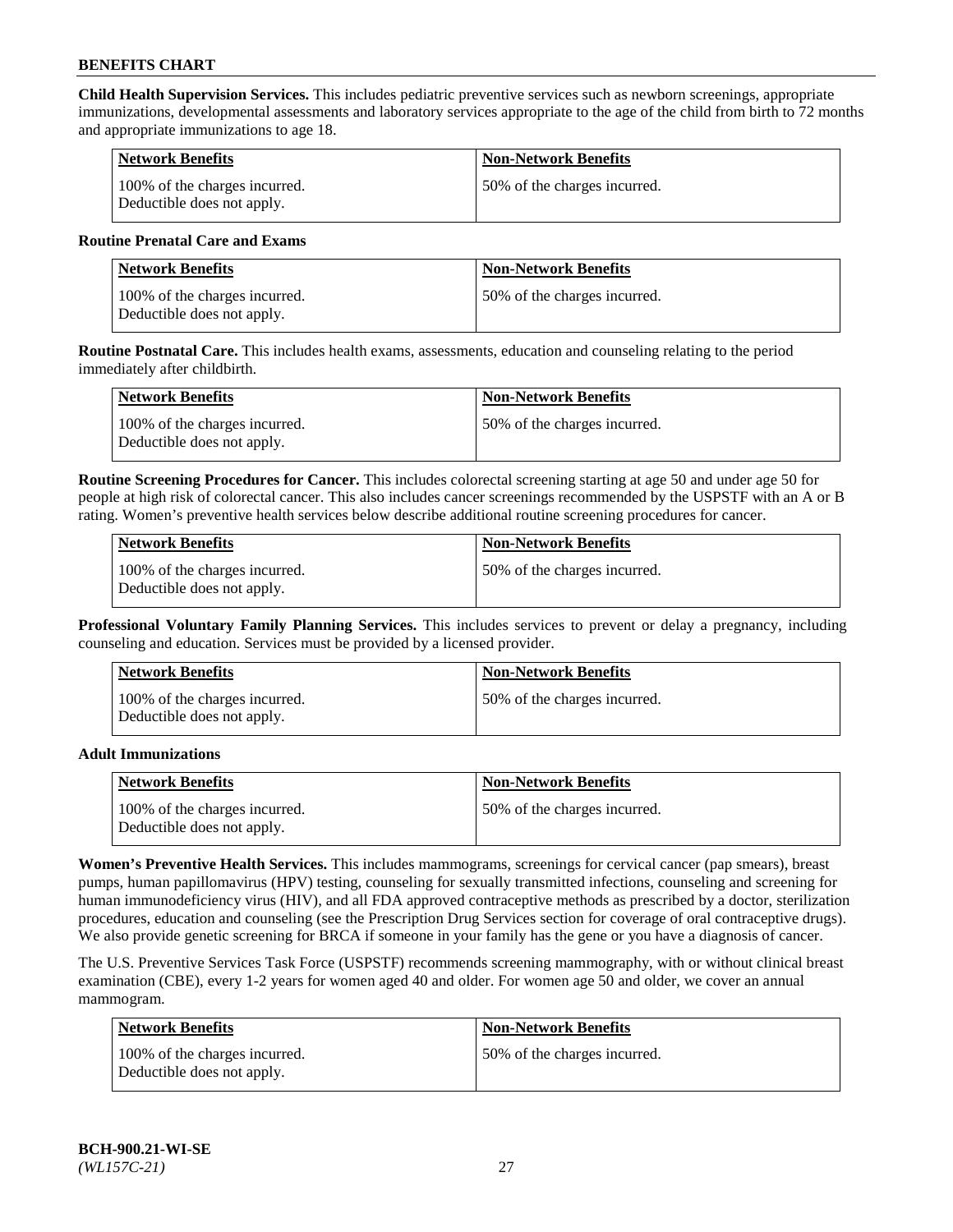**Child Health Supervision Services.** This includes pediatric preventive services such as newborn screenings, appropriate immunizations, developmental assessments and laboratory services appropriate to the age of the child from birth to 72 months and appropriate immunizations to age 18.

| <b>Network Benefits</b>                                     | <b>Non-Network Benefits</b>  |
|-------------------------------------------------------------|------------------------------|
| 100% of the charges incurred.<br>Deductible does not apply. | 50% of the charges incurred. |

#### **Routine Prenatal Care and Exams**

| Network Benefits                                            | <b>Non-Network Benefits</b>  |
|-------------------------------------------------------------|------------------------------|
| 100% of the charges incurred.<br>Deductible does not apply. | 50% of the charges incurred. |

**Routine Postnatal Care.** This includes health exams, assessments, education and counseling relating to the period immediately after childbirth.

| Network Benefits                                            | <b>Non-Network Benefits</b>  |
|-------------------------------------------------------------|------------------------------|
| 100% of the charges incurred.<br>Deductible does not apply. | 50% of the charges incurred. |

**Routine Screening Procedures for Cancer.** This includes colorectal screening starting at age 50 and under age 50 for people at high risk of colorectal cancer. This also includes cancer screenings recommended by the USPSTF with an A or B rating. Women's preventive health services below describe additional routine screening procedures for cancer.

| <b>Network Benefits</b>                                     | <b>Non-Network Benefits</b>   |
|-------------------------------------------------------------|-------------------------------|
| 100% of the charges incurred.<br>Deductible does not apply. | 150% of the charges incurred. |

**Professional Voluntary Family Planning Services.** This includes services to prevent or delay a pregnancy, including counseling and education. Services must be provided by a licensed provider.

| <b>Network Benefits</b>                                     | <b>Non-Network Benefits</b>  |
|-------------------------------------------------------------|------------------------------|
| 100% of the charges incurred.<br>Deductible does not apply. | 50% of the charges incurred. |

#### **Adult Immunizations**

| Network Benefits                                            | <b>Non-Network Benefits</b>   |
|-------------------------------------------------------------|-------------------------------|
| 100% of the charges incurred.<br>Deductible does not apply. | 150% of the charges incurred. |

**Women's Preventive Health Services.** This includes mammograms, screenings for cervical cancer (pap smears), breast pumps, human papillomavirus (HPV) testing, counseling for sexually transmitted infections, counseling and screening for human immunodeficiency virus (HIV), and all FDA approved contraceptive methods as prescribed by a doctor, sterilization procedures, education and counseling (see the Prescription Drug Services section for coverage of oral contraceptive drugs). We also provide genetic screening for BRCA if someone in your family has the gene or you have a diagnosis of cancer.

The U.S. Preventive Services Task Force (USPSTF) recommends screening mammography, with or without clinical breast examination (CBE), every 1-2 years for women aged 40 and older. For women age 50 and older, we cover an annual mammogram.

| <b>Network Benefits</b>                                     | <b>Non-Network Benefits</b>  |
|-------------------------------------------------------------|------------------------------|
| 100% of the charges incurred.<br>Deductible does not apply. | 50% of the charges incurred. |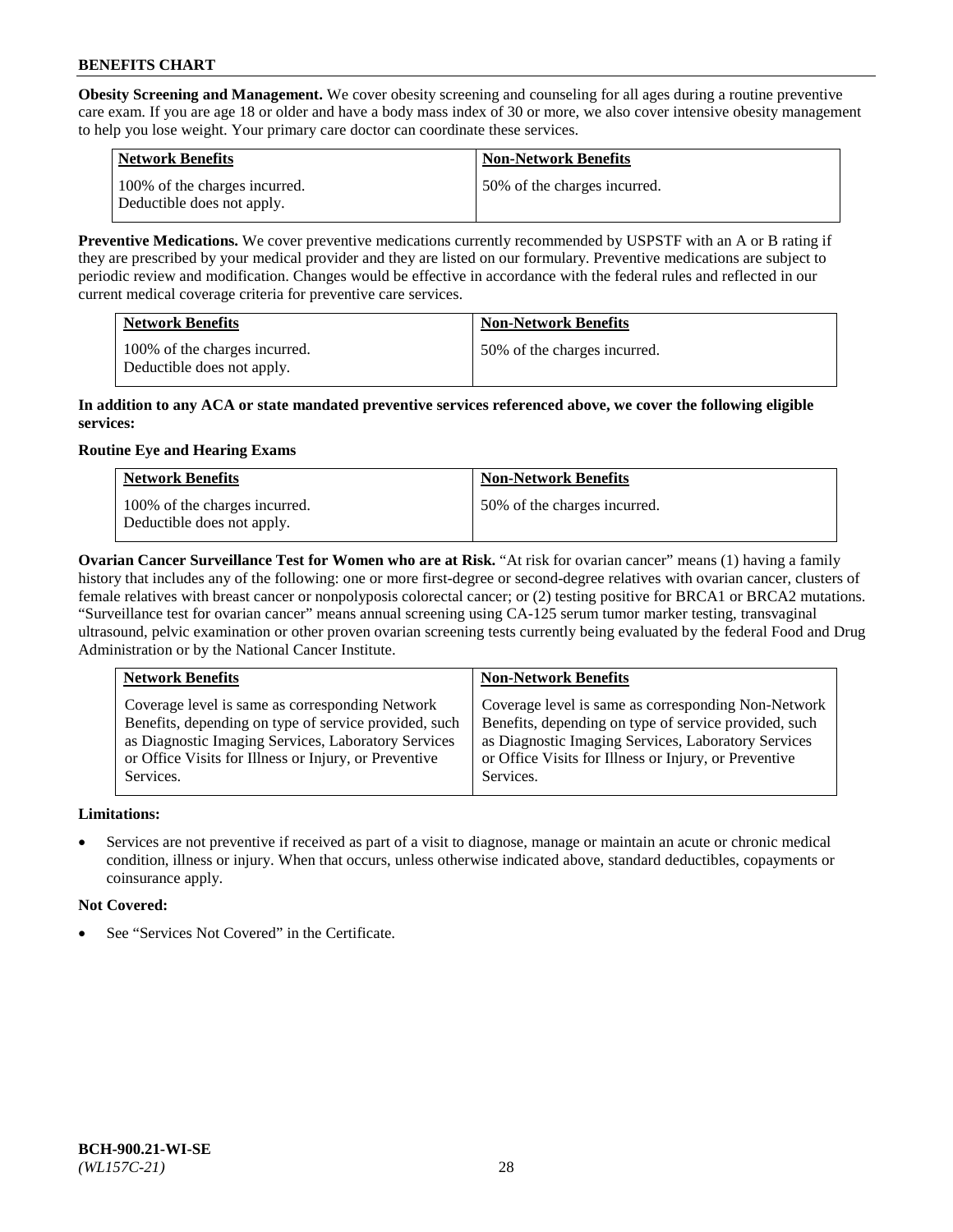**Obesity Screening and Management.** We cover obesity screening and counseling for all ages during a routine preventive care exam. If you are age 18 or older and have a body mass index of 30 or more, we also cover intensive obesity management to help you lose weight. Your primary care doctor can coordinate these services.

| <b>Network Benefits</b>                                     | <b>Non-Network Benefits</b>  |
|-------------------------------------------------------------|------------------------------|
| 100% of the charges incurred.<br>Deductible does not apply. | 50% of the charges incurred. |

**Preventive Medications.** We cover preventive medications currently recommended by USPSTF with an A or B rating if they are prescribed by your medical provider and they are listed on our formulary. Preventive medications are subject to periodic review and modification. Changes would be effective in accordance with the federal rules and reflected in our current medical coverage criteria for preventive care services.

| <b>Network Benefits</b>                                     | <b>Non-Network Benefits</b>  |
|-------------------------------------------------------------|------------------------------|
| 100% of the charges incurred.<br>Deductible does not apply. | 50% of the charges incurred. |

#### **In addition to any ACA or state mandated preventive services referenced above, we cover the following eligible services:**

# **Routine Eye and Hearing Exams**

| <b>Network Benefits</b>                                     | <b>Non-Network Benefits</b>  |
|-------------------------------------------------------------|------------------------------|
| 100% of the charges incurred.<br>Deductible does not apply. | 50% of the charges incurred. |

**Ovarian Cancer Surveillance Test for Women who are at Risk.** "At risk for ovarian cancer" means (1) having a family history that includes any of the following: one or more first-degree or second-degree relatives with ovarian cancer, clusters of female relatives with breast cancer or nonpolyposis colorectal cancer; or (2) testing positive for BRCA1 or BRCA2 mutations. "Surveillance test for ovarian cancer" means annual screening using CA-125 serum tumor marker testing, transvaginal ultrasound, pelvic examination or other proven ovarian screening tests currently being evaluated by the federal Food and Drug Administration or by the National Cancer Institute.

| <b>Network Benefits</b>                               | <b>Non-Network Benefits</b>                           |
|-------------------------------------------------------|-------------------------------------------------------|
| Coverage level is same as corresponding Network       | Coverage level is same as corresponding Non-Network   |
| Benefits, depending on type of service provided, such | Benefits, depending on type of service provided, such |
| as Diagnostic Imaging Services, Laboratory Services   | as Diagnostic Imaging Services, Laboratory Services   |
| or Office Visits for Illness or Injury, or Preventive | or Office Visits for Illness or Injury, or Preventive |
| Services.                                             | Services.                                             |

# **Limitations:**

• Services are not preventive if received as part of a visit to diagnose, manage or maintain an acute or chronic medical condition, illness or injury. When that occurs, unless otherwise indicated above, standard deductibles, copayments or coinsurance apply.

# **Not Covered:**

See "Services Not Covered" in the Certificate.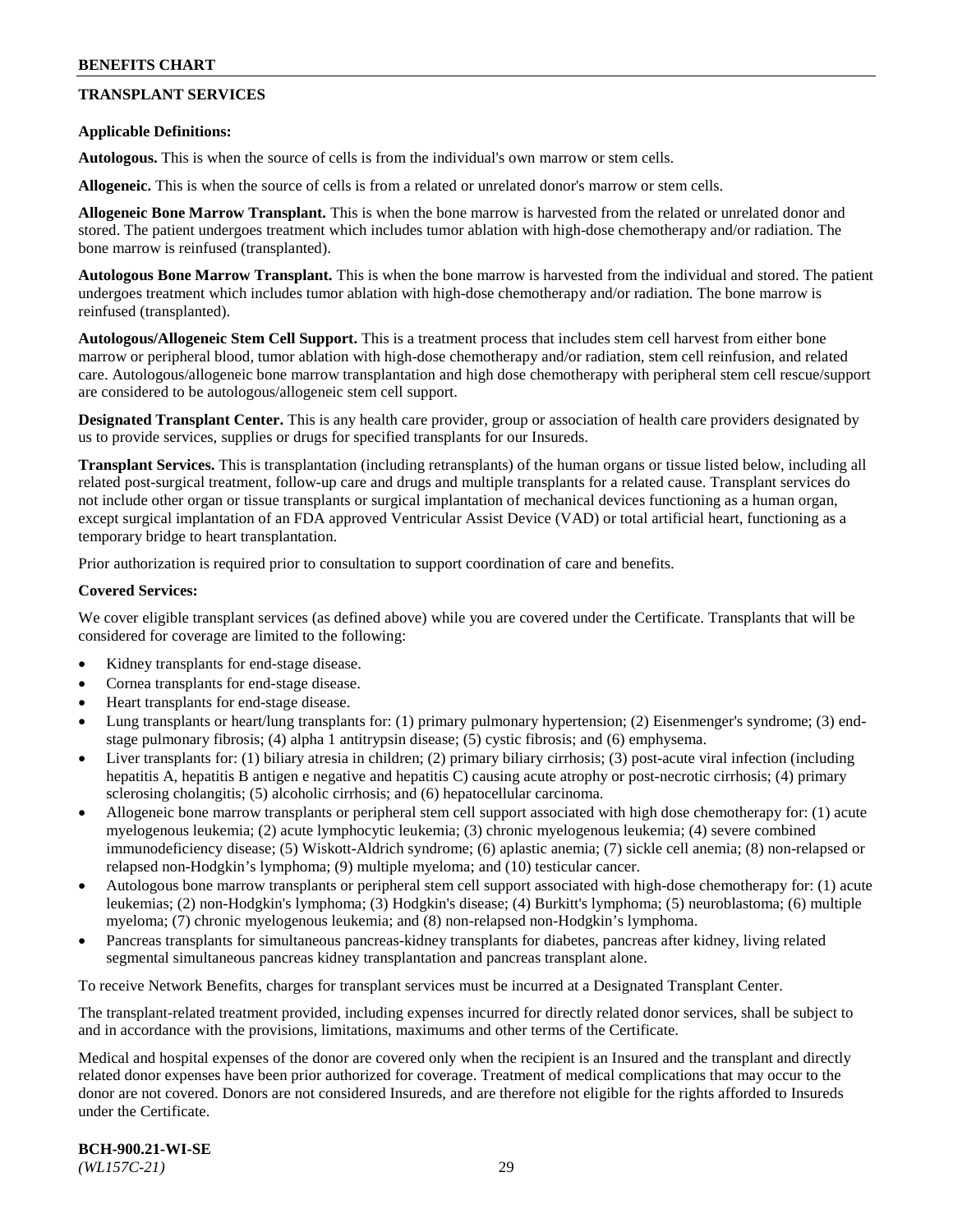# **TRANSPLANT SERVICES**

#### **Applicable Definitions:**

**Autologous.** This is when the source of cells is from the individual's own marrow or stem cells.

**Allogeneic.** This is when the source of cells is from a related or unrelated donor's marrow or stem cells.

**Allogeneic Bone Marrow Transplant.** This is when the bone marrow is harvested from the related or unrelated donor and stored. The patient undergoes treatment which includes tumor ablation with high-dose chemotherapy and/or radiation. The bone marrow is reinfused (transplanted).

**Autologous Bone Marrow Transplant.** This is when the bone marrow is harvested from the individual and stored. The patient undergoes treatment which includes tumor ablation with high-dose chemotherapy and/or radiation. The bone marrow is reinfused (transplanted).

**Autologous/Allogeneic Stem Cell Support.** This is a treatment process that includes stem cell harvest from either bone marrow or peripheral blood, tumor ablation with high-dose chemotherapy and/or radiation, stem cell reinfusion, and related care. Autologous/allogeneic bone marrow transplantation and high dose chemotherapy with peripheral stem cell rescue/support are considered to be autologous/allogeneic stem cell support.

**Designated Transplant Center.** This is any health care provider, group or association of health care providers designated by us to provide services, supplies or drugs for specified transplants for our Insureds.

**Transplant Services.** This is transplantation (including retransplants) of the human organs or tissue listed below, including all related post-surgical treatment, follow-up care and drugs and multiple transplants for a related cause. Transplant services do not include other organ or tissue transplants or surgical implantation of mechanical devices functioning as a human organ, except surgical implantation of an FDA approved Ventricular Assist Device (VAD) or total artificial heart, functioning as a temporary bridge to heart transplantation.

Prior authorization is required prior to consultation to support coordination of care and benefits.

#### **Covered Services:**

We cover eligible transplant services (as defined above) while you are covered under the Certificate. Transplants that will be considered for coverage are limited to the following:

- Kidney transplants for end-stage disease.
- Cornea transplants for end-stage disease.
- Heart transplants for end-stage disease.
- Lung transplants or heart/lung transplants for: (1) primary pulmonary hypertension; (2) Eisenmenger's syndrome; (3) endstage pulmonary fibrosis; (4) alpha 1 antitrypsin disease; (5) cystic fibrosis; and (6) emphysema.
- Liver transplants for: (1) biliary atresia in children; (2) primary biliary cirrhosis; (3) post-acute viral infection (including hepatitis A, hepatitis B antigen e negative and hepatitis C) causing acute atrophy or post-necrotic cirrhosis; (4) primary sclerosing cholangitis; (5) alcoholic cirrhosis; and (6) hepatocellular carcinoma.
- Allogeneic bone marrow transplants or peripheral stem cell support associated with high dose chemotherapy for: (1) acute myelogenous leukemia; (2) acute lymphocytic leukemia; (3) chronic myelogenous leukemia; (4) severe combined immunodeficiency disease; (5) Wiskott-Aldrich syndrome; (6) aplastic anemia; (7) sickle cell anemia; (8) non-relapsed or relapsed non-Hodgkin's lymphoma; (9) multiple myeloma; and (10) testicular cancer.
- Autologous bone marrow transplants or peripheral stem cell support associated with high-dose chemotherapy for: (1) acute leukemias; (2) non-Hodgkin's lymphoma; (3) Hodgkin's disease; (4) Burkitt's lymphoma; (5) neuroblastoma; (6) multiple myeloma; (7) chronic myelogenous leukemia; and (8) non-relapsed non-Hodgkin's lymphoma.
- Pancreas transplants for simultaneous pancreas-kidney transplants for diabetes, pancreas after kidney, living related segmental simultaneous pancreas kidney transplantation and pancreas transplant alone.

To receive Network Benefits, charges for transplant services must be incurred at a Designated Transplant Center.

The transplant-related treatment provided, including expenses incurred for directly related donor services, shall be subject to and in accordance with the provisions, limitations, maximums and other terms of the Certificate.

Medical and hospital expenses of the donor are covered only when the recipient is an Insured and the transplant and directly related donor expenses have been prior authorized for coverage. Treatment of medical complications that may occur to the donor are not covered. Donors are not considered Insureds, and are therefore not eligible for the rights afforded to Insureds under the Certificate.